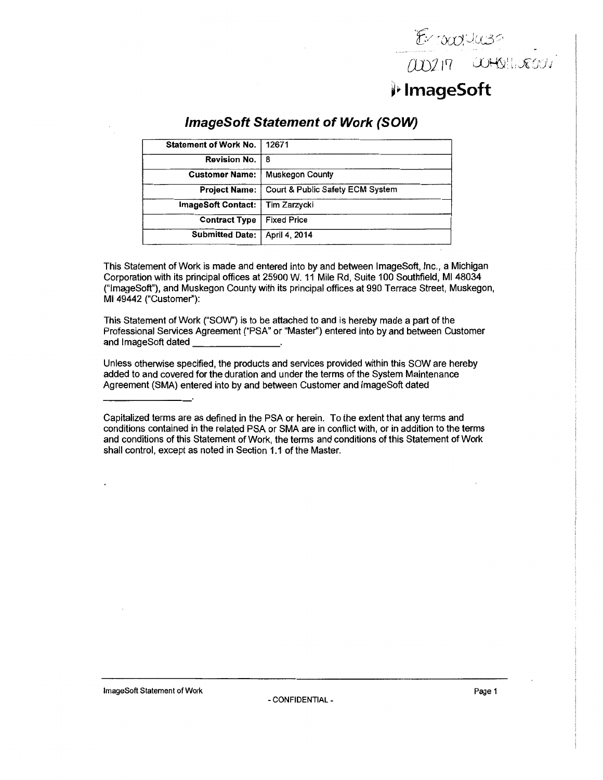[JJJJl'f

## ~~ **lmageSoft**

| <b>Statement of Work No.</b> | 12671                            |
|------------------------------|----------------------------------|
| <b>Revision No.</b>          | 8                                |
| <b>Customer Name:</b>        | Muskegon County                  |
| <b>Project Name:</b>         | Court & Public Safety ECM System |
| <b>ImageSoft Contact:</b>    | Tim Zarzycki                     |
| <b>Contract Type</b>         | <b>Fixed Price</b>               |
| <b>Submitted Date:</b>       | April 4, 2014                    |

### **lmageSoft Statement of Work (SOW)**

This Statement of Work is made and entered into by and between lmageSoft, Inc., a Michigan Corporation with its principal offices at 25900 W. 11 Mile Rd, Suite 100 Southfield, Ml 48034 ("lmageSoft"), and Muskegon County with its principal offices at 990 Terrace Street, Muskegon, Ml 49442 ("Customer''):

This Statement of Work ("SOW') is to be attached to and is hereby made a part of the Professional Services Agreement ("PSA" or "Master") entered into by and between Customer<br>and ImageSoft dated \_\_\_\_\_\_\_\_\_\_\_\_\_\_\_\_\_\_\_.

Unless otherwise specified, the products and services provided within this SOW are hereby added to and covered for the duration and under the terms of the System Maintenance Agreement (SMA) entered into by and between Customer and lmageSoft dated

Capitalized terms are as defined in the PSA or herein. To the extent that any terms and conditions contained in the related PSA or SMA are in conflict with, or in addition to the terms and conditions of this Statement of Work, the terms and conditions of this Statement of Work shall control, except as noted in Section 1.1 of the Master.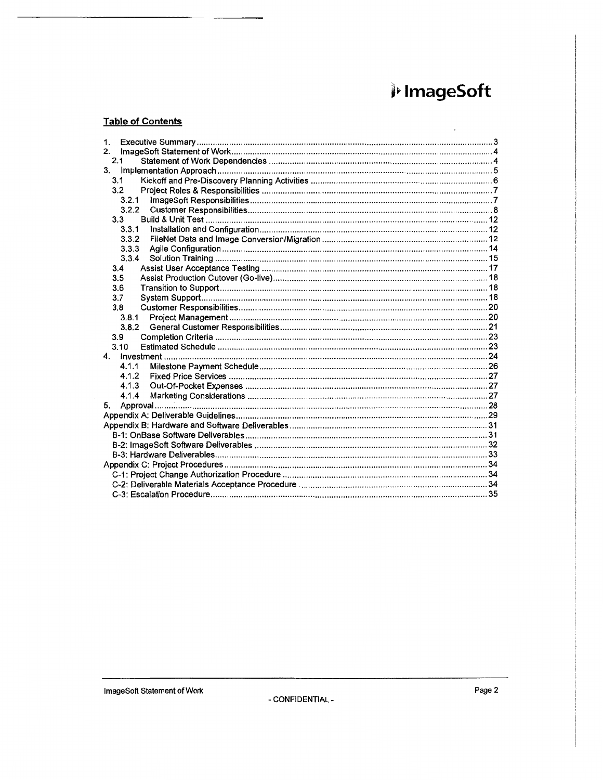# i ImageSoft

#### **Table of Contents**

| 2.<br>2.1<br>3.<br>3.1<br>3.2<br>3.2.1<br>3.2.2<br>3.3<br>3.3.1<br>3.3.2<br>3.3.3<br>3.3.4<br>3.4<br>3.5<br>3.6<br>3.7<br>3.8<br>3.8.1<br>3.8.2<br>3.9<br>3.10<br>4 <sup>1</sup><br>4.1.1<br>4.1.2<br>4.1.3<br>4.1.4<br>5. |
|----------------------------------------------------------------------------------------------------------------------------------------------------------------------------------------------------------------------------|
|                                                                                                                                                                                                                            |
|                                                                                                                                                                                                                            |
|                                                                                                                                                                                                                            |
|                                                                                                                                                                                                                            |
|                                                                                                                                                                                                                            |
|                                                                                                                                                                                                                            |
|                                                                                                                                                                                                                            |
|                                                                                                                                                                                                                            |
|                                                                                                                                                                                                                            |
|                                                                                                                                                                                                                            |
|                                                                                                                                                                                                                            |
|                                                                                                                                                                                                                            |
|                                                                                                                                                                                                                            |
|                                                                                                                                                                                                                            |
|                                                                                                                                                                                                                            |
|                                                                                                                                                                                                                            |
|                                                                                                                                                                                                                            |
|                                                                                                                                                                                                                            |
|                                                                                                                                                                                                                            |
|                                                                                                                                                                                                                            |
|                                                                                                                                                                                                                            |
|                                                                                                                                                                                                                            |
|                                                                                                                                                                                                                            |
|                                                                                                                                                                                                                            |
|                                                                                                                                                                                                                            |
|                                                                                                                                                                                                                            |
|                                                                                                                                                                                                                            |
|                                                                                                                                                                                                                            |
|                                                                                                                                                                                                                            |
|                                                                                                                                                                                                                            |
|                                                                                                                                                                                                                            |
|                                                                                                                                                                                                                            |
|                                                                                                                                                                                                                            |
|                                                                                                                                                                                                                            |
|                                                                                                                                                                                                                            |
|                                                                                                                                                                                                                            |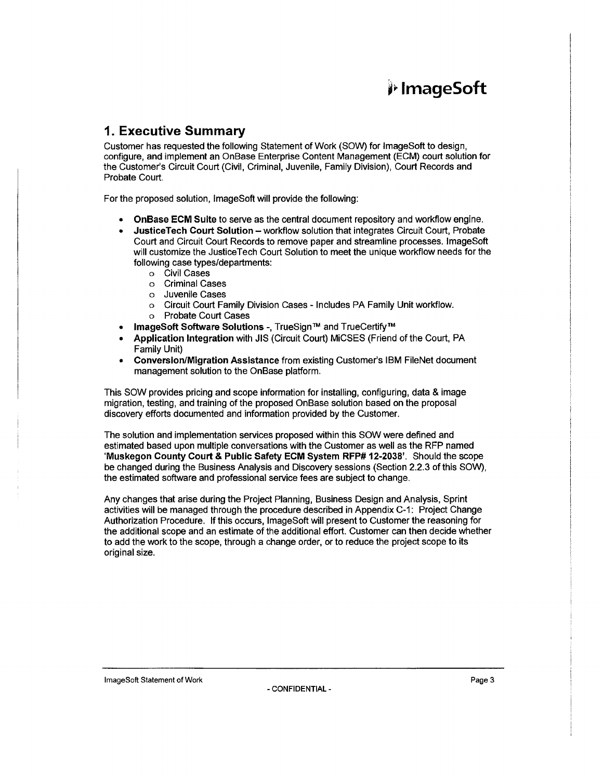### 1. Executive Summary

Customer has requested the following Statement of Work (SOW) for lmageSoft to design, configure, and implement an OnBase Enterprise Content Management (ECM) court solution for the Customer's Circuit Court (Civil, Criminal, Juvenile, Family Division), Court Records and Probate Court.

For the proposed solution, lmageSoft will provide the following:

- OnBase ECM Suite to serve as the central document repository and workflow engine.
- JusticeTech Court Solution workflow solution that integrates Circuit Court, Probate Court and Circuit Court Records to remove paper and streamline processes. lmageSoft will customize the Justice Tech Court Solution to meet the unique workflow needs for the following case types/departments:
	- o Civil Cases
	- o Criminal Cases
	- o Juvenile Cases
	- o Circuit Court Family Division Cases Includes PA Family Unit workflow.
	- o Probate Court Cases
- ImageSoft Software Solutions -, TrueSign™ and TrueCertify™
- Application Integration with JIS (Circuit Court) MiCSES (Friend of the Court, PA Family Unit)
- Conversion/Migration Assistance from existing Customer's IBM FileNet document management solution to the OnBase platform.

This SOW provides pricing and scope information for installing, configuring, data & image migration, testing, and training of the proposed OnBase solution based on the proposal discovery efforts documented and information provided by the Customer.

The solution and implementation services proposed within this SOW were defined and estimated based upon multiple conversations with the Customer as well as the RFP named 'Muskegon County Court & Public Safety ECM System RFP# 12-2038'. Should the scope be changed during the Business Analysis and Discovery sessions (Section 2.2.3 of this SOW), the estimated software and professional service fees are subject to change.

Any changes that arise during the Project Planning, Business Design and Analysis, Sprint activities will be managed through the procedure described in Appendix C-1: Project Change Authorization Procedure. If this occurs, lmageSoft will present to Customer the reasoning for the additional scope and an estimate of the additional effort. Customer can then decide whether to add the work to the scope, through a change order, or to reduce the project scope to its original size.

**ImageSoft Statement of Work Page 3** Page 3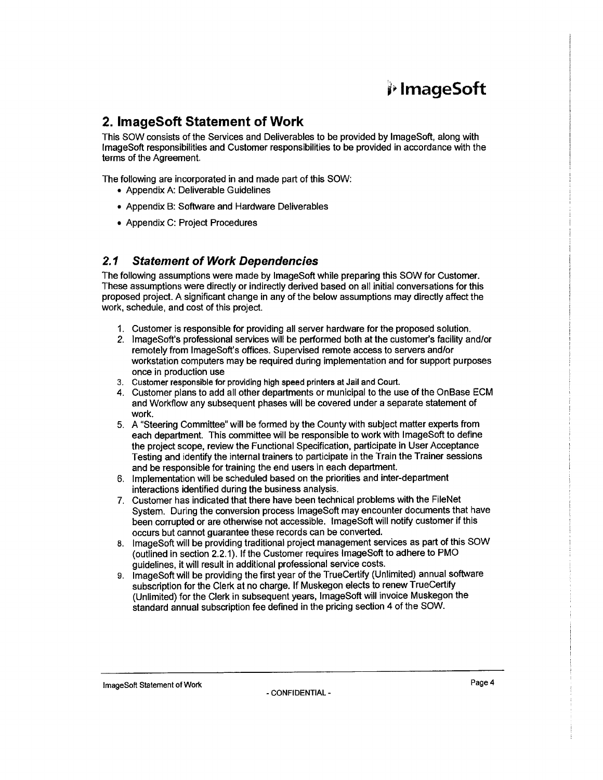### **2. lmageSoft Statement of Work**

This SOW consists of the Services and Deliverables to be provided by lmageSoft, along with lmageSoft responsibilities and Customer responsibilities to be provided in accordance with the terms of the Agreement.

The following are incorporated in and made part of this SOW:

- Appendix A: Deliverable Guidelines
- Appendix B: Software and Hardware Deliverables
- Appendix C: Project Procedures

### **2. 1 Statement of Work Dependencies**

The following assumptions were made by lmageSoft while preparing this SOW for Customer. These assumptions were directly or indirectly derived based on all initial conversations for this proposed project. A significant change in any of the below assumptions may directly affect the work, schedule, and cost of this project.

- 1. Customer is responsible for providing all server hardware for the proposed solution.
- *2.* lmageSoft's professional services will be performed both at the customer's facility and/or remotely from lmageSoft's offices. Supervised remote access to servers and/or workstation computers may be required during implementation and for support purposes once in production use
- 3. Customer responsible for providing high speed printers at Jail and Court.
- 4. Customer plans to add all other departments or municipal to the use of the OnBase ECM and Workflow any subsequent phases will be covered under a separate statement of work.
- 5. A "Steering Committee" will be formed by the County with subject matter experts from each department. This committee will be responsible to work with lmageSoft to define the project scope, review the Functional Specification, participate in User Acceptance Testing and identify the internal trainers to participate in the Train the Trainer sessions and be responsible for training the end users in each department.
- 6. Implementation will be scheduled based on the priorities and inter-department interactions identified during the business analysis.
- 7. Customer has indicated that there have been technical problems with the FileNet System. During the conversion process lmageSoft may encounter documents that have been corrupted or are otherwise not accessible. lmageSoft will notify customer if this occurs but cannot guarantee these records can be converted.
- 8. lmageSoft will be providing traditional project management services as part of this SOW (outlined in section 2.2.1). If the Customer requires lmageSoft to adhere to PMO guidelines, it will result in additional professional service costs.
- 9. lmageSoft will be providing the first year of the TrueCertify (Unlimited) annual software subscription for the Clerk at no charge. If Muskegon elects to renew TrueCertify (Unlimited) for the Clerk in subsequent years, lmageSoft will invoice Muskegon the standard annual subscription fee defined in the pricing section 4 of the SOW.

lmageSoft Statement of Work **Page 4**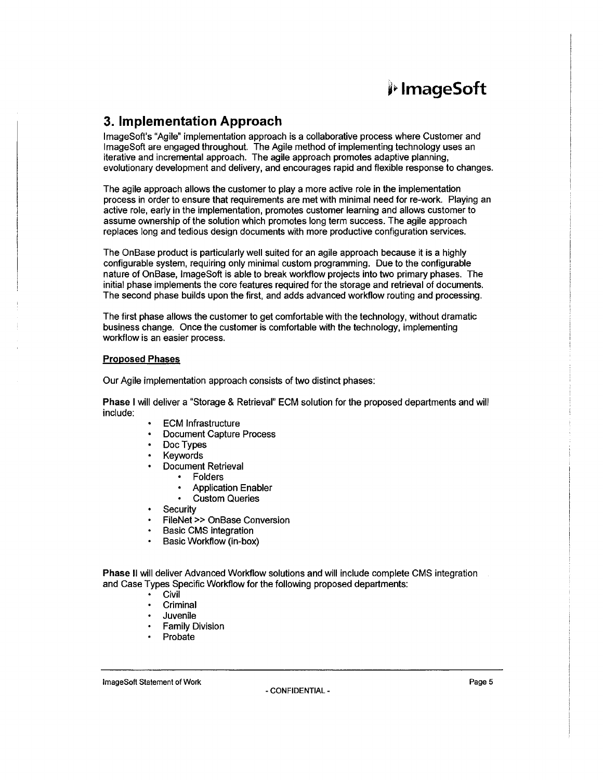### **3. Implementation Approach**

lmageSoft's "Agile" implementation approach is a collaborative process where Customer and lmageSoft are engaged throughout. The Agile method of implementing technology uses an iterative and incremental approach. The agile approach promotes adaptive planning, evolutionary development and delivery, and encourages rapid and flexible response to changes.

The agile approach allows the customer to play a more active role in the implementation process in order to ensure that requirements are met with minimal need for re-work. Playing an active role, early in the implementation, promotes customer learning and allows customer to assume ownership of the solution which promotes long term success. The agile approach replaces long and tedious design documents with more productive configuration services.

The OnBase product is particularly well suited for an agile approach because it is a highly configurable system, requiring only minimal custom programming. Due to the configurable nature of OnBase, lmageSoft is able to break workflow projects into two primary phases. The initial phase implements the core features required for the storage and retrieval of documents. The second phase builds upon the first, and adds advanced workflow routing and processing.

The first phase allows the customer to get comfortable with the technology, without dramatic business change. Once the customer is comfortable with the technology, implementing workflow is an easier process.

#### **Proposed Phases**

Our Agile implementation approach consists of two distinct phases:

**Phase** I will deliver a "Storage & Retrieval" ECM solution for the proposed departments and will include:

- ECM Infrastructure
- Document Capture Process
- Doc Types
- Keywords
- Document Retrieval
	- Folders
	- Application Enabler
	- Custom Queries
- **Security**
- FileNet » OnBase Conversion
- Basic CMS integration
- Basic Workflow (in-box)

**Phase** II will deliver Advanced Workflow solutions and will include complete CMS integration and Case Types Specific Workflow for the following proposed departments:

- Civil
- **Criminal**
- Juvenile
- Family Division
- Probate

**ImageSoft Statement of Work Page 5**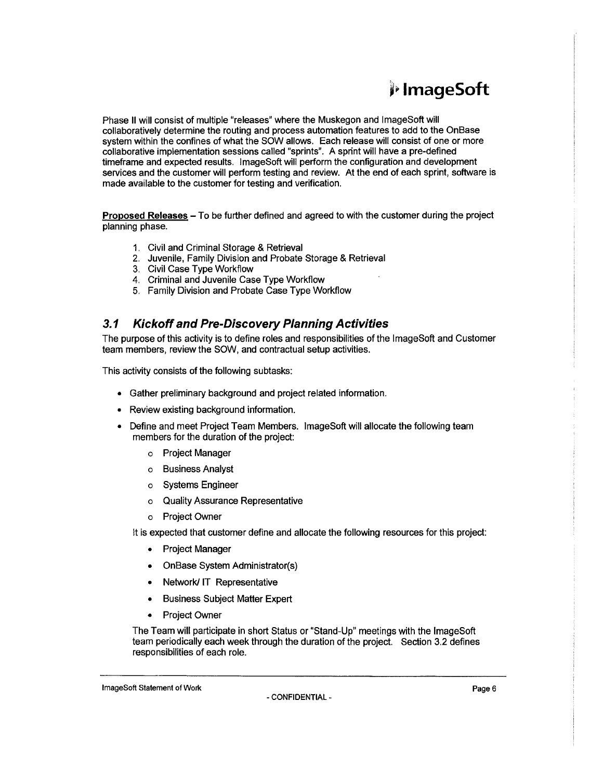## j1- **lmageSoft**

Phase II will consist of multiple "releases" where the Muskegon and lmageSoft will collaboratively determine the routing and process automation features to add to the OnBase system within the confines of what the SOW allows. Each release will consist of one or more collaborative implementation sessions called "sprints". A sprint will have a pre-defined timeframe and expected results. lmageSoft will perform the configuration and development services and the customer will perform testing and review. At the end of each sprint, software is made available to the customer for testing and verification.

Proposed Releases - To be further defined and agreed to with the customer during the project planning phase.

- 1. Civil and Criminal Storage & Retrieval
- 2. Juvenile, Family Division and Probate Storage & Retrieval
- 3. Civil Case Type Workflow
- 4. Criminal and Juvenile Case Type Workflow
- 5. Family Division and Probate Case Type Workflow

### 3.1 **Kickoff and Pre-Discovery Planning Activities**

The purpose of this activity is to define roles and responsibilities of the lmageSoft and Customer team members, review the SOW, and contractual setup activities.

This activity consists of the following subtasks:

- Gather preliminary background and project related information.
- Review existing background information.
- Define and meet Project Team Members. lmageSoft will allocate the following team members for the duration of the project:
	- o Project Manager
	- o Business Analyst
	- o Systems Engineer
	- o Quality Assurance Representative
	- o Project Owner

It is expected that customer define and allocate the following resources for this project:

- Project Manager
- OnBase System Administrator(s)
- Network/ IT Representative
- Business Subject Matter Expert
- Project Owner

The Team will participate in short Status or "Stand-Up" meetings with the lmageSoft team periodically each week through the duration of the project. Section 3.2 defines responsibilities of each role.

**ImageSoft Statement of Work Page 6**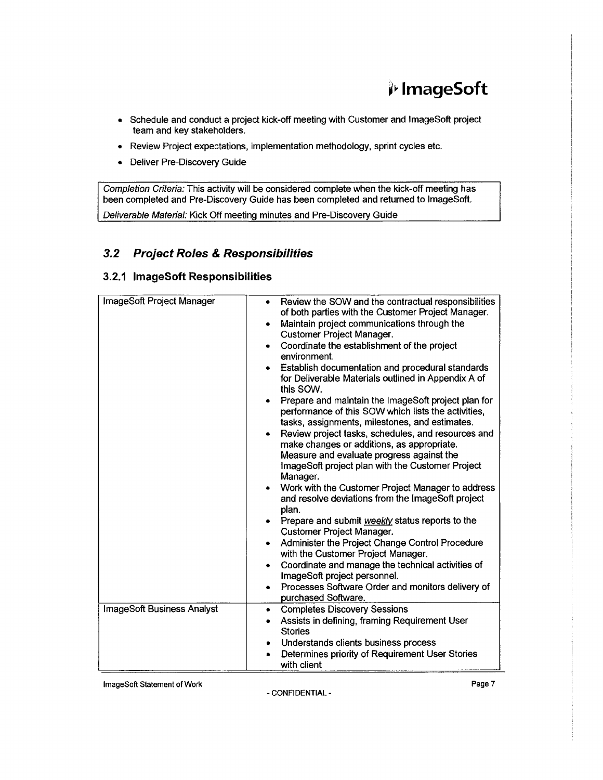## Ji> **lmageSoft**

- Schedule and conduct a project kick-off meeting with Customer and lmageSoft project team and key stakeholders.
- Review Project expectations, implementation methodology, sprint cycles etc.
- Deliver Pre-Discovery Guide

Completion Criteria: This activity will be considered complete when the kick-off meeting has been completed and Pre-Discovery Guide has been completed and returned to lmageSoft.

Deliverable Material: Kick Off meeting minutes and Pre-Discovery Guide

### **3.2 Project Roles & Responsibilities**

### **3.2.1 lmageSoft Responsibilities**

| ImageSoft Project Manager  | Review the SOW and the contractual responsibilities<br>$\bullet$<br>of both parties with the Customer Project Manager.<br>Maintain project communications through the<br>$\bullet$<br>Customer Project Manager.<br>Coordinate the establishment of the project<br>$\bullet$<br>environment.<br>Establish documentation and procedural standards<br>for Deliverable Materials outlined in Appendix A of<br>this SOW.<br>Prepare and maintain the ImageSoft project plan for<br>$\bullet$<br>performance of this SOW which lists the activities,<br>tasks, assignments, milestones, and estimates.<br>Review project tasks, schedules, and resources and<br>$\bullet$<br>make changes or additions, as appropriate.<br>Measure and evaluate progress against the<br>ImageSoft project plan with the Customer Project<br>Manager.<br>Work with the Customer Project Manager to address<br>$\bullet$<br>and resolve deviations from the ImageSoft project<br>plan.<br>Prepare and submit weekly status reports to the<br>٠<br>Customer Project Manager.<br>Administer the Project Change Control Procedure<br>$\bullet$<br>with the Customer Project Manager.<br>Coordinate and manage the technical activities of<br>$\bullet$<br>ImageSoft project personnel.<br>Processes Software Order and monitors delivery of<br>$\bullet$<br>purchased Software. |
|----------------------------|------------------------------------------------------------------------------------------------------------------------------------------------------------------------------------------------------------------------------------------------------------------------------------------------------------------------------------------------------------------------------------------------------------------------------------------------------------------------------------------------------------------------------------------------------------------------------------------------------------------------------------------------------------------------------------------------------------------------------------------------------------------------------------------------------------------------------------------------------------------------------------------------------------------------------------------------------------------------------------------------------------------------------------------------------------------------------------------------------------------------------------------------------------------------------------------------------------------------------------------------------------------------------------------------------------------------------------------------------|
|                            |                                                                                                                                                                                                                                                                                                                                                                                                                                                                                                                                                                                                                                                                                                                                                                                                                                                                                                                                                                                                                                                                                                                                                                                                                                                                                                                                                      |
| ImageSoft Business Analyst | <b>Completes Discovery Sessions</b><br>٠                                                                                                                                                                                                                                                                                                                                                                                                                                                                                                                                                                                                                                                                                                                                                                                                                                                                                                                                                                                                                                                                                                                                                                                                                                                                                                             |
|                            | Assists in defining, framing Requirement User<br><b>Stories</b>                                                                                                                                                                                                                                                                                                                                                                                                                                                                                                                                                                                                                                                                                                                                                                                                                                                                                                                                                                                                                                                                                                                                                                                                                                                                                      |
|                            | Understands clients business process<br>٠                                                                                                                                                                                                                                                                                                                                                                                                                                                                                                                                                                                                                                                                                                                                                                                                                                                                                                                                                                                                                                                                                                                                                                                                                                                                                                            |
|                            | Determines priority of Requirement User Stories                                                                                                                                                                                                                                                                                                                                                                                                                                                                                                                                                                                                                                                                                                                                                                                                                                                                                                                                                                                                                                                                                                                                                                                                                                                                                                      |
|                            | with client                                                                                                                                                                                                                                                                                                                                                                                                                                                                                                                                                                                                                                                                                                                                                                                                                                                                                                                                                                                                                                                                                                                                                                                                                                                                                                                                          |

**ImageSoft Statement of Work Page 7**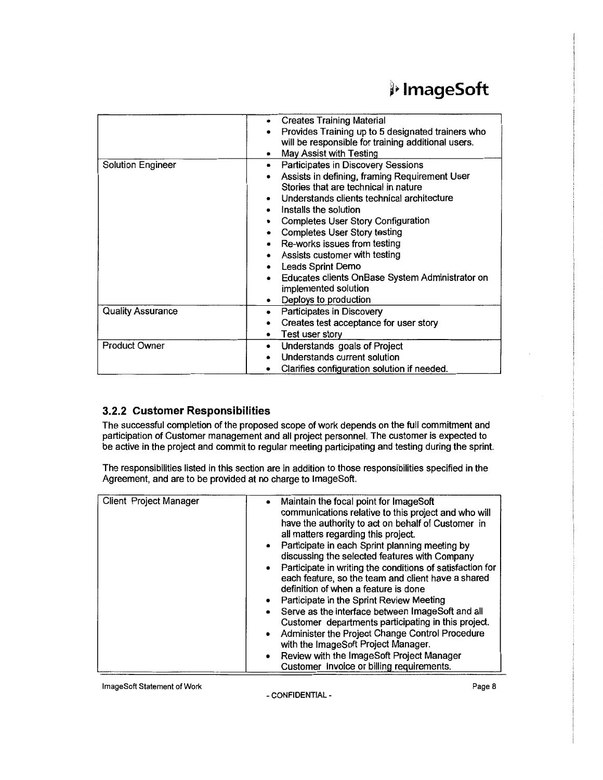|                          | <b>Creates Training Material</b><br>Provides Training up to 5 designated trainers who<br>will be responsible for training additional users.<br>May Assist with Testing                                                                                                                                                                                                                                                                                                                |
|--------------------------|---------------------------------------------------------------------------------------------------------------------------------------------------------------------------------------------------------------------------------------------------------------------------------------------------------------------------------------------------------------------------------------------------------------------------------------------------------------------------------------|
| <b>Solution Engineer</b> | Participates in Discovery Sessions<br>Assists in defining, framing Requirement User<br>Stories that are technical in nature<br>Understands clients technical architecture<br>٠<br>Installs the solution<br><b>Completes User Story Configuration</b><br><b>Completes User Story testing</b><br>Re-works issues from testing<br>Assists customer with testing<br>Leads Sprint Demo<br>Educates clients OnBase System Administrator on<br>implemented solution<br>Deploys to production |
| <b>Quality Assurance</b> | Participates in Discovery<br>Creates test acceptance for user story<br>Test user story                                                                                                                                                                                                                                                                                                                                                                                                |
| <b>Product Owner</b>     | Understands goals of Project<br>٠<br>Understands current solution<br>Clarifies configuration solution if needed.                                                                                                                                                                                                                                                                                                                                                                      |

### **3.2.2 Customer Responsibilities**

The successful completion of the proposed scope of work depends on the full commitment and participation of Customer management and all project personnel. The customer is expected to be active in the project and commit to regular meeting participating and testing during the sprint.

The responsibilities listed in this section are in addition to those responsibilities specified in the Agreement, and are to be provided at no charge to lmageSoft.

| Client Project Manager | Maintain the focal point for ImageSoft<br>$\bullet$                    |
|------------------------|------------------------------------------------------------------------|
|                        | communications relative to this project and who will                   |
|                        | have the authority to act on behalf of Customer in                     |
|                        | all matters regarding this project.                                    |
|                        |                                                                        |
|                        | Participate in each Sprint planning meeting by<br>$\bullet$            |
|                        | discussing the selected features with Company                          |
|                        | Participate in writing the conditions of satisfaction for<br>$\bullet$ |
|                        | each feature, so the team and client have a shared                     |
|                        |                                                                        |
|                        | definition of when a feature is done                                   |
|                        | Participate in the Sprint Review Meeting<br>$\bullet$                  |
|                        | Serve as the interface between ImageSoft and all<br>۰                  |
|                        | Customer departments participating in this project.                    |
|                        |                                                                        |
|                        | Administer the Project Change Control Procedure<br>٠                   |
|                        | with the ImageSoft Project Manager.                                    |
|                        | Review with the ImageSoft Project Manager<br>$\bullet$                 |
|                        | Customer invoice or billing requirements.                              |
|                        |                                                                        |

lmageSoft Statement of Work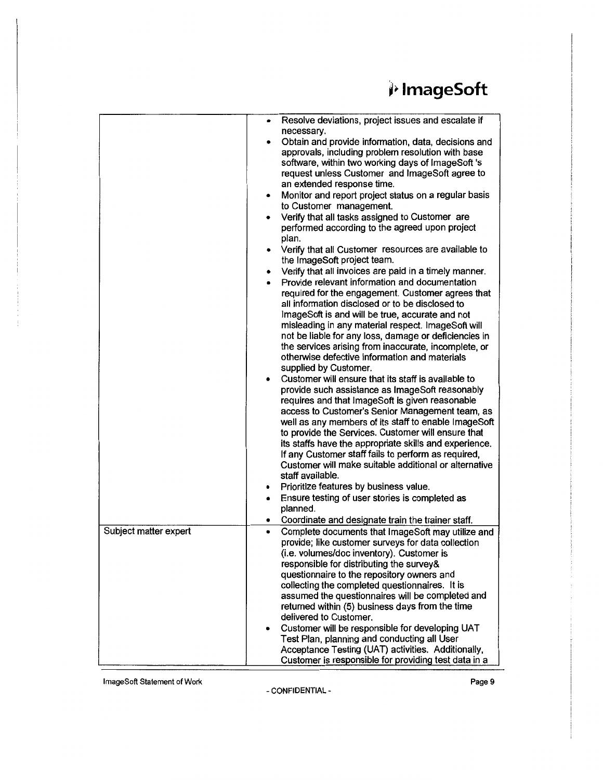|                       | Resolve deviations, project issues and escalate if<br>$\bullet$                                                                                                                                                                                                                                                                                                                                                                                                                                                                                                                                                                                                                                                      |
|-----------------------|----------------------------------------------------------------------------------------------------------------------------------------------------------------------------------------------------------------------------------------------------------------------------------------------------------------------------------------------------------------------------------------------------------------------------------------------------------------------------------------------------------------------------------------------------------------------------------------------------------------------------------------------------------------------------------------------------------------------|
|                       | necessary.<br>Obtain and provide information, data, decisions and<br>approvals, including problem resolution with base<br>software, within two working days of ImageSoft 's<br>request unless Customer and ImageSoft agree to<br>an extended response time.<br>Monitor and report project status on a regular basis<br>٠<br>to Customer management.<br>Verify that all tasks assigned to Customer are<br>performed according to the agreed upon project<br>plan.<br>Verify that all Customer resources are available to<br>$\bullet$<br>the ImageSoft project team.<br>Verify that all invoices are paid in a timely manner.<br>٠<br>Provide relevant information and documentation                                  |
|                       | required for the engagement. Customer agrees that<br>all information disclosed or to be disclosed to<br>ImageSoft is and will be true, accurate and not<br>misleading in any material respect. ImageSoft will<br>not be liable for any loss, damage or deficiencies in<br>the services arising from inaccurate, incomplete, or<br>otherwise defective information and materials<br>supplied by Customer.                                                                                                                                                                                                                                                                                                             |
|                       | Customer will ensure that its staff is available to<br>$\bullet$<br>provide such assistance as ImageSoft reasonably<br>requires and that ImageSoft is given reasonable<br>access to Customer's Senior Management team, as<br>well as any members of its staff to enable ImageSoft<br>to provide the Services. Customer will ensure that<br>its staffs have the appropriate skills and experience.<br>If any Customer staff fails to perform as required,<br>Customer will make suitable additional or alternative<br>staff available.<br>Prioritize features by business value.<br>٠<br>Ensure testing of user stories is completed as<br>$\bullet$<br>planned.<br>Coordinate and designate train the trainer staff. |
| Subject matter expert | ٠<br>Complete documents that ImageSoft may utilize and<br>۰<br>provide; like customer surveys for data collection<br>(i.e. volumes/doc inventory). Customer is<br>responsible for distributing the survey&<br>questionnaire to the repository owners and<br>collecting the completed questionnaires. It is<br>assumed the questionnaires will be completed and<br>returned within (5) business days from the time<br>delivered to Customer.<br>Customer will be responsible for developing UAT<br>Test Plan, planning and conducting all User<br>Acceptance Testing (UAT) activities. Additionally,<br>Customer is responsible for providing test data in a                                                          |

lmageSoft Statement of Work **Page 9**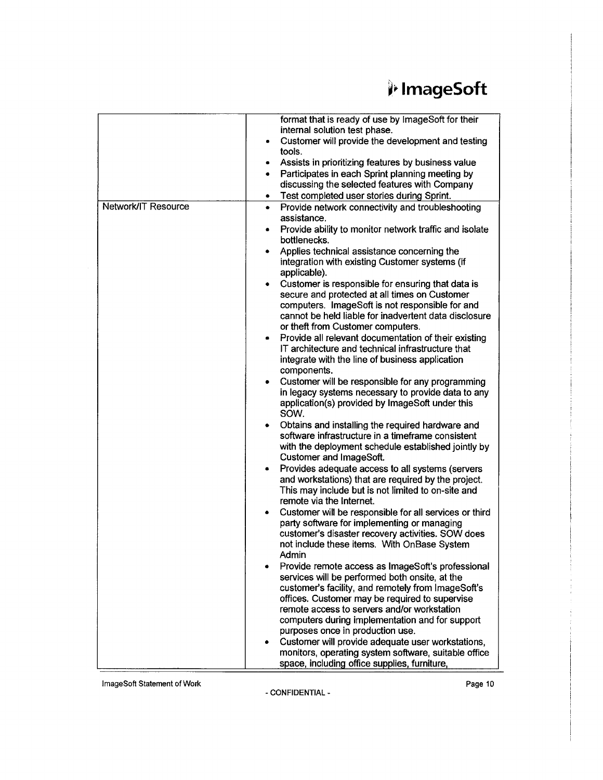|                     | format that is ready of use by ImageSoft for their                                                                   |
|---------------------|----------------------------------------------------------------------------------------------------------------------|
|                     | internal solution test phase.<br>Customer will provide the development and testing                                   |
|                     | tools.                                                                                                               |
|                     | Assists in prioritizing features by business value<br>٠                                                              |
|                     | Participates in each Sprint planning meeting by<br>٠                                                                 |
|                     | discussing the selected features with Company                                                                        |
|                     | Test completed user stories during Sprint.<br>٠                                                                      |
| Network/IT Resource | Provide network connectivity and troubleshooting<br>٠<br>assistance.                                                 |
|                     | Provide ability to monitor network traffic and isolate<br>٠<br>bottlenecks.                                          |
|                     | Applies technical assistance concerning the                                                                          |
|                     | integration with existing Customer systems (if<br>applicable).                                                       |
|                     | Customer is responsible for ensuring that data is<br>٠                                                               |
|                     | secure and protected at all times on Customer                                                                        |
|                     | computers. ImageSoft is not responsible for and                                                                      |
|                     | cannot be held liable for inadvertent data disclosure                                                                |
|                     | or theft from Customer computers.                                                                                    |
|                     | Provide all relevant documentation of their existing<br>$\bullet$                                                    |
|                     | IT architecture and technical infrastructure that                                                                    |
|                     | integrate with the line of business application<br>components.                                                       |
|                     | Customer will be responsible for any programming                                                                     |
|                     | in legacy systems necessary to provide data to any                                                                   |
|                     | application(s) provided by ImageSoft under this<br>SOW.                                                              |
|                     | Obtains and installing the required hardware and                                                                     |
|                     | software infrastructure in a timeframe consistent                                                                    |
|                     | with the deployment schedule established jointly by                                                                  |
|                     | Customer and ImageSoft.                                                                                              |
|                     | Provides adequate access to all systems (servers<br>$\bullet$<br>and workstations) that are required by the project. |
|                     | This may include but is not limited to on-site and                                                                   |
|                     | remote via the Internet.                                                                                             |
|                     | Customer will be responsible for all services or third                                                               |
|                     | party software for implementing or managing                                                                          |
|                     | customer's disaster recovery activities. SOW does                                                                    |
|                     | not include these items. With OnBase System                                                                          |
|                     | Admin<br>Provide remote access as ImageSoft's professional                                                           |
|                     | services will be performed both onsite, at the                                                                       |
|                     | customer's facility, and remotely from ImageSoft's                                                                   |
|                     | offices. Customer may be required to supervise                                                                       |
|                     | remote access to servers and/or workstation                                                                          |
|                     | computers during implementation and for support                                                                      |
|                     | purposes once in production use.                                                                                     |
|                     | Customer will provide adequate user workstations,                                                                    |
|                     | monitors, operating system software, suitable office                                                                 |
|                     | space, including office supplies, furniture,                                                                         |

lmageSoft Statement of Work **Page 10**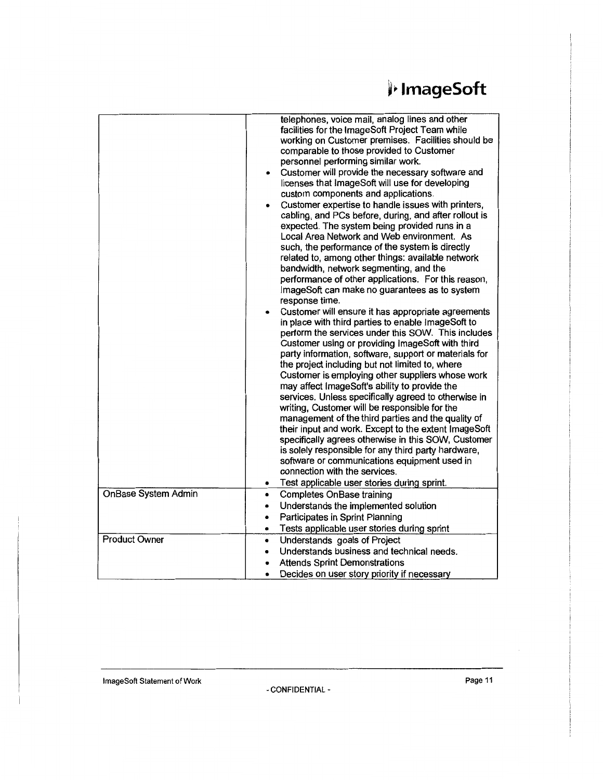|                      | telephones, voice mail, analog lines and other<br>facilities for the ImageSoft Project Team while<br>working on Customer premises. Facilities should be<br>comparable to those provided to Customer<br>personnel performing similar work.<br>Customer will provide the necessary software and<br>licenses that ImageSoft will use for developing<br>custom components and applications.<br>Customer expertise to handle issues with printers,<br>cabling, and PCs before, during, and after rollout is<br>expected. The system being provided runs in a<br>Local Area Network and Web environment. As<br>such, the performance of the system is directly<br>related to, among other things: available network<br>bandwidth, network segmenting, and the<br>performance of other applications. For this reason,<br>ImageSoft can make no guarantees as to system<br>response time.<br>Customer will ensure it has appropriate agreements<br>in place with third parties to enable ImageSoft to<br>perform the services under this SOW. This includes<br>Customer using or providing ImageSoft with third<br>party information, software, support or materials for<br>the project including but not limited to, where<br>Customer is employing other suppliers whose work<br>may affect ImageSoft's ability to provide the<br>services. Unless specifically agreed to otherwise in<br>writing, Customer will be responsible for the<br>management of the third parties and the quality of<br>their input and work. Except to the extent ImageSoft<br>specifically agrees otherwise in this SOW, Customer<br>is solely responsible for any third party hardware,<br>software or communications equipment used in<br>connection with the services.<br>Test applicable user stories during sprint. |
|----------------------|-----------------------------------------------------------------------------------------------------------------------------------------------------------------------------------------------------------------------------------------------------------------------------------------------------------------------------------------------------------------------------------------------------------------------------------------------------------------------------------------------------------------------------------------------------------------------------------------------------------------------------------------------------------------------------------------------------------------------------------------------------------------------------------------------------------------------------------------------------------------------------------------------------------------------------------------------------------------------------------------------------------------------------------------------------------------------------------------------------------------------------------------------------------------------------------------------------------------------------------------------------------------------------------------------------------------------------------------------------------------------------------------------------------------------------------------------------------------------------------------------------------------------------------------------------------------------------------------------------------------------------------------------------------------------------------------------------------------------------------------------------------------------------------------------|
| OnBase System Admin  | <b>Completes OnBase training</b><br>$\bullet$                                                                                                                                                                                                                                                                                                                                                                                                                                                                                                                                                                                                                                                                                                                                                                                                                                                                                                                                                                                                                                                                                                                                                                                                                                                                                                                                                                                                                                                                                                                                                                                                                                                                                                                                                 |
|                      | Understands the implemented solution<br>٠                                                                                                                                                                                                                                                                                                                                                                                                                                                                                                                                                                                                                                                                                                                                                                                                                                                                                                                                                                                                                                                                                                                                                                                                                                                                                                                                                                                                                                                                                                                                                                                                                                                                                                                                                     |
|                      | Participates in Sprint Planning                                                                                                                                                                                                                                                                                                                                                                                                                                                                                                                                                                                                                                                                                                                                                                                                                                                                                                                                                                                                                                                                                                                                                                                                                                                                                                                                                                                                                                                                                                                                                                                                                                                                                                                                                               |
|                      | Tests applicable user stories during sprint<br>$\bullet$                                                                                                                                                                                                                                                                                                                                                                                                                                                                                                                                                                                                                                                                                                                                                                                                                                                                                                                                                                                                                                                                                                                                                                                                                                                                                                                                                                                                                                                                                                                                                                                                                                                                                                                                      |
| <b>Product Owner</b> | Understands goals of Project<br>$\bullet$                                                                                                                                                                                                                                                                                                                                                                                                                                                                                                                                                                                                                                                                                                                                                                                                                                                                                                                                                                                                                                                                                                                                                                                                                                                                                                                                                                                                                                                                                                                                                                                                                                                                                                                                                     |
|                      | Understands business and technical needs.                                                                                                                                                                                                                                                                                                                                                                                                                                                                                                                                                                                                                                                                                                                                                                                                                                                                                                                                                                                                                                                                                                                                                                                                                                                                                                                                                                                                                                                                                                                                                                                                                                                                                                                                                     |
|                      | <b>Attends Sprint Demonstrations</b>                                                                                                                                                                                                                                                                                                                                                                                                                                                                                                                                                                                                                                                                                                                                                                                                                                                                                                                                                                                                                                                                                                                                                                                                                                                                                                                                                                                                                                                                                                                                                                                                                                                                                                                                                          |
|                      | Decides on user story priority if necessary<br>$\bullet$                                                                                                                                                                                                                                                                                                                                                                                                                                                                                                                                                                                                                                                                                                                                                                                                                                                                                                                                                                                                                                                                                                                                                                                                                                                                                                                                                                                                                                                                                                                                                                                                                                                                                                                                      |
|                      |                                                                                                                                                                                                                                                                                                                                                                                                                                                                                                                                                                                                                                                                                                                                                                                                                                                                                                                                                                                                                                                                                                                                                                                                                                                                                                                                                                                                                                                                                                                                                                                                                                                                                                                                                                                               |

ImageSoft Statement of Work **Page 11**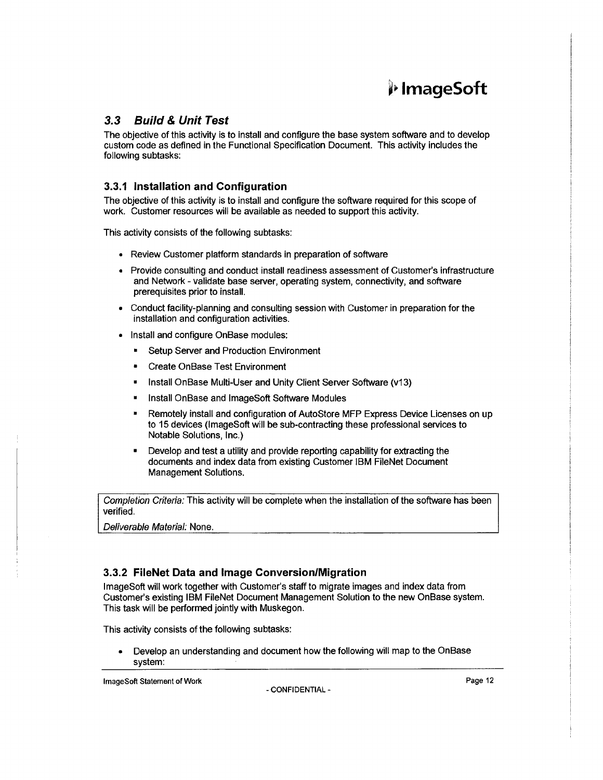## ~j) **lmageSoft**

### **3.3 Build & Unit Test**

The objective of this activity is to install and configure the base system software and to develop custom code as defined in the Functional Specification Document. This activity includes the following subtasks:

### **3.3.1 Installation and Configuration**

The objective of this activity is to install and configure the software required for this scope of work. Customer resources will be available as needed to support this activity.

This activity consists of the following subtasks:

- Review Customer platform standards in preparation of software
- Provide consulting and conduct install readiness assessment of Customer's infrastructure and Network - validate base server, operating system, connectivity, and software prerequisites prior to install.
- Conduct facility-planning and consulting session with Customer in preparation for the installation and configuration activities.
- Install and configure OnBase modules:
	- Setup Server and Production Environment
	- Create OnBase Test Environment
	- Install OnBase Multi-User and Unity Client Server Software (v13)
	- Install OnBase and lmageSoft Software Modules
	- Remotely install and configuration of AutoStore MFP Express Device Licenses on up to 15 devices (lmageSoft will be sub-contracting these professional services to Notable Solutions, Inc.}
	- Develop and test a utility and provide reporting capability for extracting the documents and index data from existing Customer IBM FileNet Document Management Solutions.

Completion Criteria: This activity will be complete when the installation of the software has been verified.

Deliverable Material: None.

#### **3.3.2 FileNet Data and Image Conversion/Migration**

lmageSoft will work together with Customer's staff to migrate images and index data from Customer's existing IBM FileNet Document Management Solution to the new OnBase system. This task will be performed jointly with Muskegon.

This activity consists of the following subtasks:

• Develop an understanding and document how the following will map to the OnBase system:

**ImageSoft Statement of Work Page 12**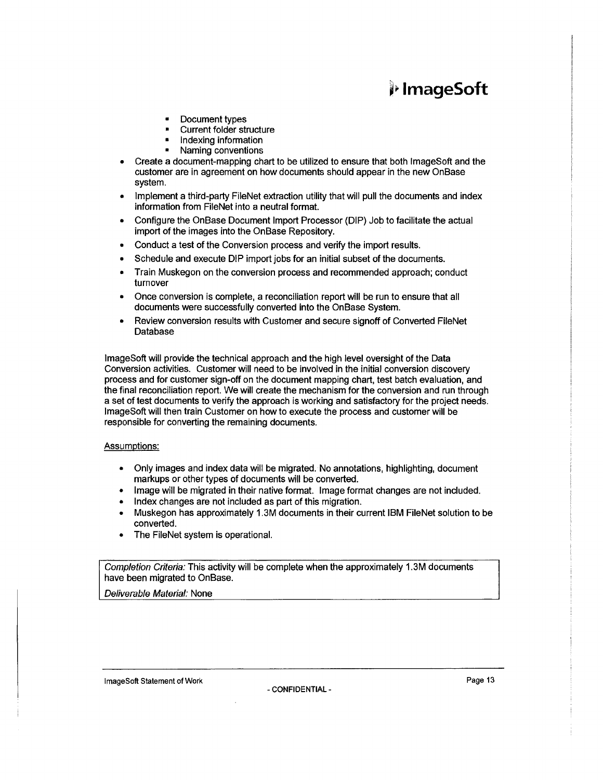## i" **lmageSoft**

- Document types
- Current folder structure
- Indexing information
- Naming conventions
- Create a document-mapping chart to be utilized to ensure that both lmageSoft and the customer are in agreement on how documents should appear in the new OnBase system.
- Implement a third-party FileNet extraction utility that will pull the documents and index information from FileNet into a neutral format.
- Configure the OnBase Document Import Processor (DIP) Job to facilitate the actual import of the images into the On Base Repository.
- Conduct a test of the Conversion process and verify the import results.
- Schedule and execute DIP import jobs for an initial subset of the documents.
- Train Muskegon on the conversion process and recommended approach; conduct turnover
- Once conversion is complete, a reconciliation report will be run to ensure that all documents were successfully converted into the OnBase System.
- Review conversion results with Customer and secure signoff of Converted FileNet Database

lmageSoft will provide the technical approach and the high level oversight of the Data Conversion activities. Customer will need to be involved in the initial conversion discovery process and for customer sign-off on the document mapping chart, test batch evaluation, and the final reconciliation report. We will create the mechanism for the conversion and run through a set of test documents to verify the approach is working and satisfactory for the project needs. lmageSoft will then train Customer on how to execute the process and customer will be responsible for converting the remaining documents.

#### Assumptions:

- Only images and index data will be migrated. No annotations, highlighting, document markups or other types of documents will be converted.
- Image will be migrated in their native format. Image format changes are not included.
- Index changes are not included as part of this migration.
- Muskegon has approximately 1.3M documents in their current IBM FileNet solution to be converted.
- The FileNet system is operational.

Completion Criteria: This activity will be complete when the approximately 1.3M documents have been migrated to OnBase.

Deliverable Material: None

lmageSoft Statement of Work **Page 13** and the extent of Work Page 13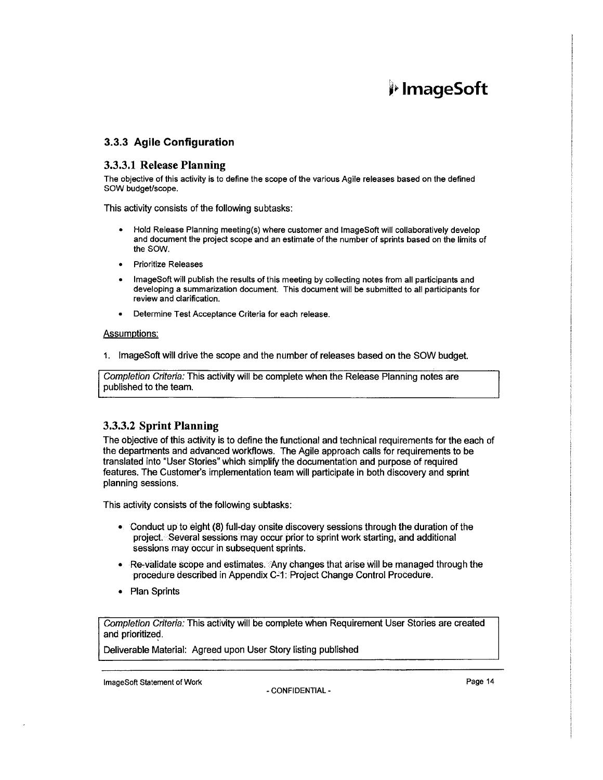## •J- **lmageSoft**

#### 3.3.3 Agile Configuration

#### 3.3.3.1 Release Planning

The objective of this activity is to define the scope of the various Agile releases based on the defined SOW budget/scope.

This activity consists of the following subtasks:

- Hold Release Planning meeting(s) where customer and lmageSoft will collaboratively develop and document the project scope and an estimate of the number of sprints based on the limits of the SOW.
- Prioritize Releases
- lmageSoft will publish the results of this meeting by collecting notes from all participants and developing a summarization document. This document will be submitted to all participants for review and clarification.
- Determine Test Acceptance Criteria for each release.

#### Assumptions:

1. lmageSoft will drive the scope and the number of releases based on the SOW budget.

Completion Criteria: This activity will be complete when the Release Planning notes are published to the team.

#### 3.3.3.2 Sprint Planning

The objective of this activity is to define the functional and technical requirements for the each of the departments and advanced workflows. The Agile approach calls for requirements to be translated into "User Stories" which simplify the documentation and purpose of required features. The Customer's implementation team will participate in both discovery and sprint planning sessions.

This activity consists of the following subtasks:

- Conduct up to eight (8) full-day onsite discovery sessions through the duration of the project. ·Several sessions may occur prior to sprint work starting, and additional sessions may occur in subsequent sprints.
- Re-validate scope and estimates. Any changes that arise will be managed through the procedure described in Appendix C~1: Project Change Control Procedure.
- Plan Sprints

Completion Criteria: This activity will be complete when Requirement User Stories are created and prioritized.

Deliverable Material: Agreed upon User Story listing published

lmageSoft Statement of Work **Page 14** and the extent of Work Page 14 and the extent of Page 14 and the extent of Morte of Page 14 and the extent of Work **Page 14** and the extent of Work **Page 14** and the extent of Work **Pa**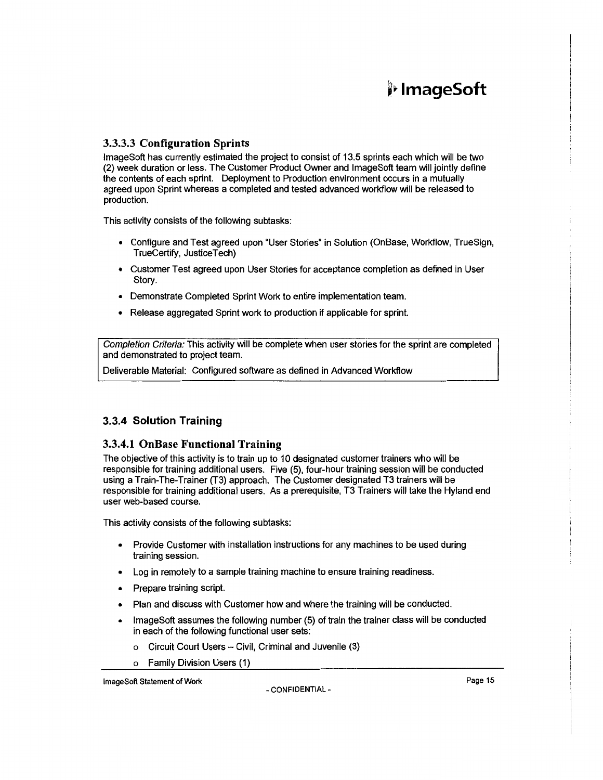#### 3.3.3.3 Configuration Sprints

lmageSoft has currently estimated the project to consist of 13.5 sprints each which will be two (2) week duration or less. The Customer Product Owner and lmageSoft team will jointly define the contents of each sprint. Deployment to Production environment occurs in a mutually agreed upon Sprint whereas a completed and tested advanced workflow will be released to production.

This activity consists of the following subtasks:

- Configure and Test agreed upon "User Stories" in Solution (OnBase, Workflow, TrueSign, TrueCertify, JusticeTech)
- Customer Test agreed upon User Stories for acceptance completion as defined in User Story.
- Demonstrate Completed Sprint Work to entire implementation team.
- Release aggregated Sprint work to production if applicable for sprint.

Completion Criteria: This activity will be complete when user stories for the sprint are completed and demonstrated to project team.

Deliverable Material: Configured software as defined in Advanced Workflow

#### 3.3.4 Solution Training

#### 3.3.4.1 OnBase Functional Training

The objective of this activity is to train up to 10 designated customer trainers who will be responsible for training additional users. Five (5), four-hour training session will be conducted using a Train-The-Trainer (T3) approach. The Customer designated T3 trainers will be responsible for training additional users. As a prerequisite, T3 Trainers will take the Hyland end user web-based course.

This activity consists of the following subtasks:

- Provide Customer with installation instructions for any machines to be used during training session.
- Log in remotely to a sample training machine to ensure training readiness.
- Prepare training script.
- Plan and discuss with Customer how and where the training will be conducted.
- lmageSoft assumes the following number (5) of train the trainer class will be conducted in each of the following functional user sets:
	- Circuit Court Users Civil, Criminal and Juvenile (3)
	- a Family Division Users (1)

ImageSoft Statement of Work - CONFIDENTIAL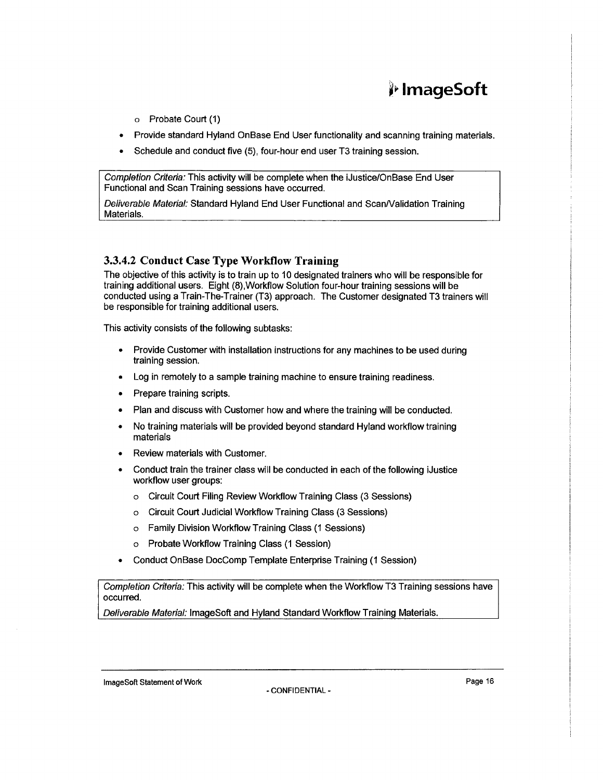## ~i' **lmageSoft**

- o Probate Court (1)
- Provide standard Hyland OnBase End User functionality and scanning training materials.
- Schedule and conduct five (5), four-hour end user T3 training session.

Completion Criteria: This activity will be complete when the iJustice/OnBase End User Functional and Scan Training sessions have occurred.

Deliverable Material: Standard Hyland End User Functional and Scan/Validation Training Materials.

#### 3.3.4.2 Conduct Case Type Workflow Training

The objective of this activity is to train up to 10 designated trainers who will be responsible for training additional users. Eight (8),Workflow Solution four-hour training sessions will be conducted using a Train-The-Trainer (T3) approach. The Customer designated T3 trainers will be responsible for training additional users.

This activity consists of the following subtasks:

- Provide Customer with installation instructions for any machines to be used during training session.
- Log in remotely to a sample training machine to ensure training readiness.
- Prepare training scripts.
- Plan and discuss with Customer how and where the training will be conducted.
- No training materials will be provided beyond standard Hyland workflow training materials
- Review materials with Customer.
- Conduct train the trainer class will be conducted in each of the following iJustice workflow user groups:
	- o Circuit Court Filing Review Workflow Training Class (3 Sessions)
	- o Circuit Court Judicial Workflow Training Class (3 Sessions)
	- o Family Division Workflow Training Class (1 Sessions)
	- o Probate Workflow Training Class (1 Session)
- Conduct OnBase DocComp Template Enterprise Training (1 Session)

Completion Criteria: This activity will be complete when the Workflow T3 Training sessions have occurred.

Deliverable Material: lmageSoft and Hyland Standard Workflow Training Materials.

lmageSoft Statement of Work **Page 16** and the extent of Work Page 16 and the extension of Page 16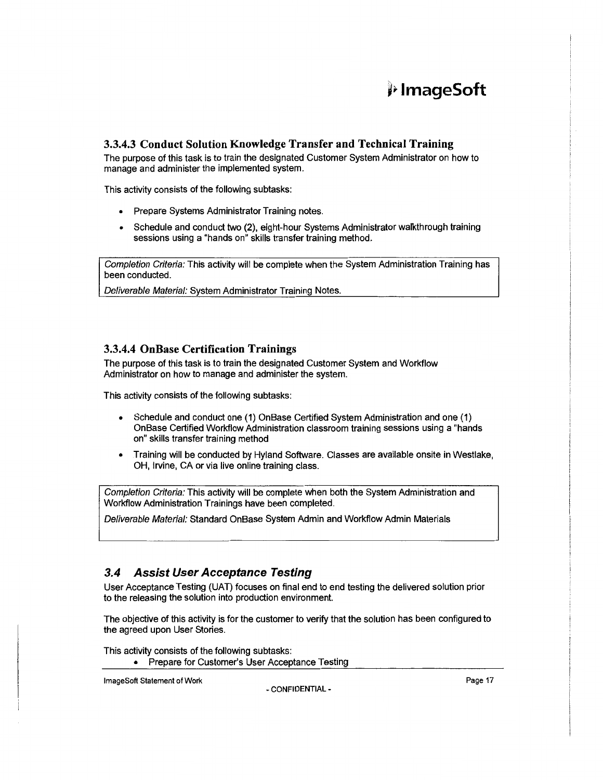### 3.3.4.3 Conduct Solution Knowledge Transfer and Technical Training

The purpose of this task is to train the designated Customer System Administrator on how to manage and administer the implemented system.

This activity consists of the following subtasks:

- Prepare Systems Administrator Training notes.
- Schedule and conduct two (2), eight-hour Systems Administrator walkthrough training sessions using a "hands on" skills transfer training method.

Completion Criteria: This activity will be complete when the System Administration Training has been conducted.

Deliverable Material: System Administrator Training Notes.

#### 3.3.4.4 OnBase Certification Trainings

The purpose of this task is to train the designated Customer System and Workflow Administrator on how to manage and administer the system.

This activity consists of the following subtasks:

- Schedule and conduct one (1) OnBase Certified System Administration and one (1) OnBase Certified Workflow Administration classroom training sessions using a "hands on" skills transfer training method
- Training will be conducted by Hyland Software. Classes are available onsite in Westlake, OH, Irvine, CA or via live online training class.

Completion Criteria: This activity will be complete when both the System Administration and Workflow Administration Trainings have been completed.

Deliverable Material: Standard OnBase System Admin and Workflow Admin Materials

#### 3.4 Assist User Acceptance Testing

User Acceptance Testing (UAT) focuses on final end to end testing the delivered solution prior to the releasing the solution into production environment.

The objective of this activity is for the customer to verify that the solution has been configured to the agreed upon User Stories.

This activity consists of the following subtasks: • Prepare for Customer's User Acceptance Testing

ImageSoft Statement of Work **Page 17**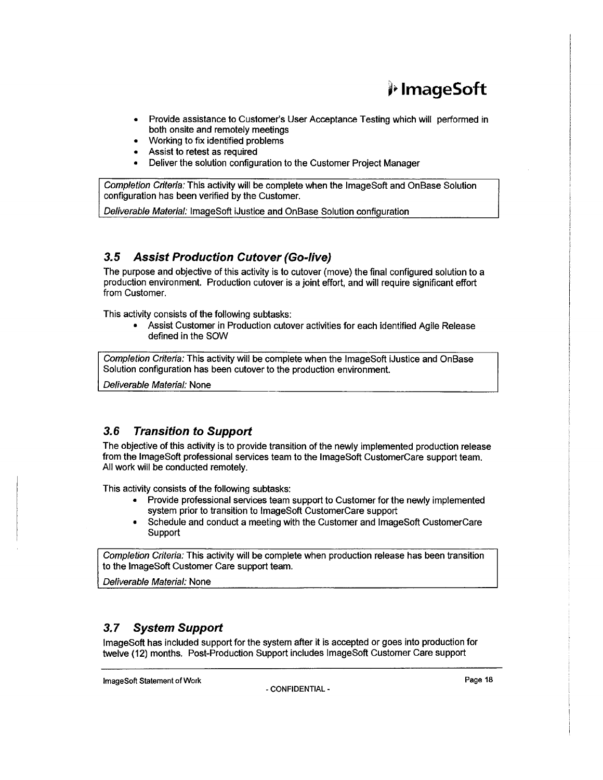## j;. **lmageSoft**

- Provide assistance to Customer's User Acceptance Testing which will performed in both onsite and remotely meetings
- Working to fix identified problems
- Assist to retest as required
- Deliver the solution configuration to the Customer Project Manager

Completion Criteria: This activity will be complete when the lmageSoft and OnBase Solution configuration has been verified by the Customer.

Deliverable Material: lmageSoft iJustice and OnBase Solution configuration

### **3.5 Assist Production Cutover (Go-live)**

The purpose and objective of this activity is to cutover (move) the final configured solution to a production environment. Production cutover is a joint effort, and will require significant effort from Customer.

This activity consists of the following subtasks:

• Assist Customer in Production cutover activities for each identified Agile Release defined in the SOW

Completion Criteria: This activity will be complete when the lmageSoft iJustice and OnBase Solution configuration has been cutover to the production environment.

Deliverable Material: None

### **3.6 Transition to Support**

The objective of this activity is to provide transition of the newly implemented production release from the lmageSoft professional services team to the lmageSoft CustomerCare support team. All work will be conducted remotely.

This activity consists of the following subtasks:

- Provide professional services team support to Customer for the newly implemented system prior to transition to lmageSoft CustomerCare support
- Schedule and conduct a meeting with the Customer and lmageSoft CustomerCare Support

Completion Criteria: This activity will be complete when production release has been transition to the lmageSoft Customer Care support team.

Deliverable Material: None

### **3. 7 System Support**

lmageSoft has included support for the system after it is accepted or goes into production for twelve (12) months. Post-Production Support includes lmageSoft Customer Care support

**ImageSoft Statement of Work** Page 18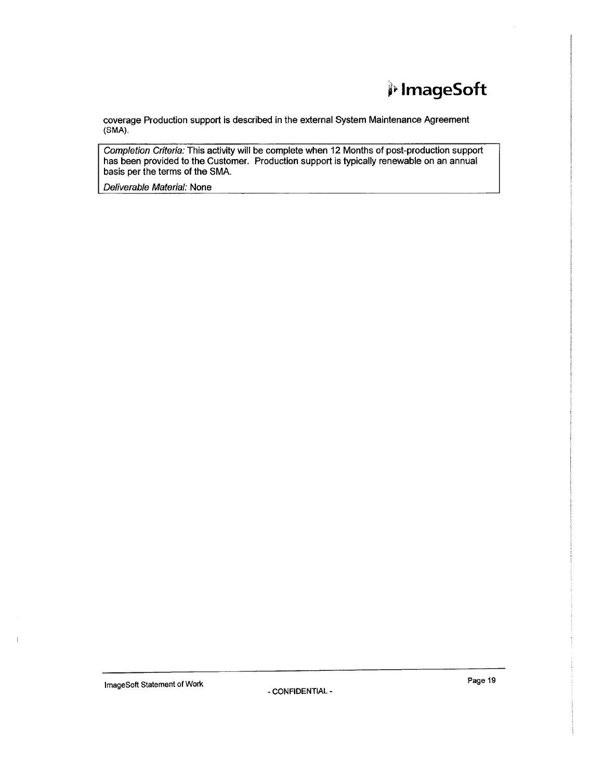## ., **lmageSoft**

coverage Production support is described in the external System Maintenance Agreement (SMA).

Completion Criteria: This activity will be complete when 12 Months of post-production support has been provided to the Customer. Production support is typically renewable on an annual basis per the terms of the SMA.

Deliverable Material: None

Image Soft Statement of Work Page 19

Í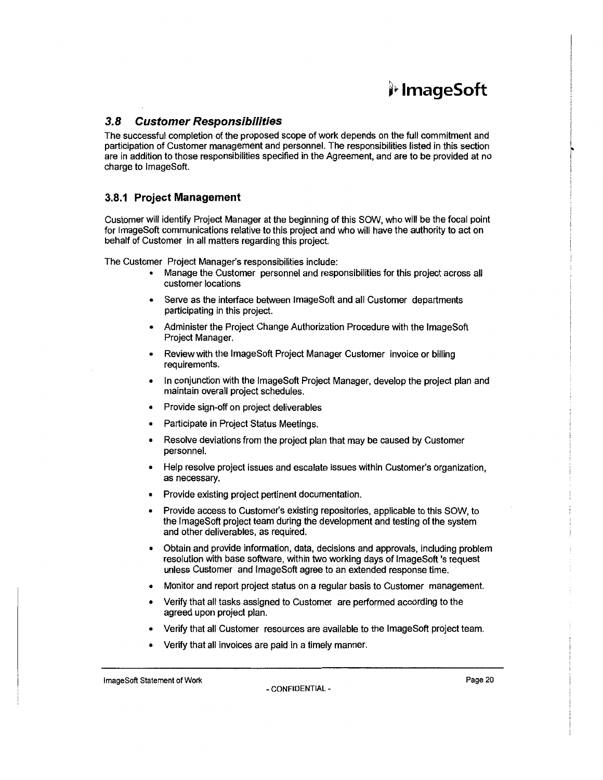## #,. **lmageSoft**

### **3.8 Customer Responsibilities**

The successful completion of the proposed scope of work depends on the full commitment and participation of Customer management and personnel. The responsibilities listed in this section are in addition to those responsibilities specified in the Agreement, and are to be provided at no charge to lmageSoft.

#### **3.8.1 Project Management**

Customer will identify Project Manager at the beginning of this SOW, who will be the focal point for lmageSoft communications relative to this project and who will have the authority to act on behalf of Customer in all matters regarding this project.

The Customer Project Manager's responsibilities include:

- Manage the Customer personnel and responsibilities for this project across all customer locations
- Serve as the interface between ImageSoft and all Customer departments participating in this project.
- Administer the Project Change Authorization Procedure with the lmageSoft Project Manager.
- Review with the lmageSoft Project Manager Customer invoice or billing requirements.
- In conjunction with the lmageSoft Project Manager, develop the project plan and maintain overall project schedules.
- Provide sign-off on project deliverables
- Participate in Project Status Meetings.
- Resolve deviations from the project plan that may be caused by Customer personnel.
- Help resolve project issues and escalate issues within Customer's organization, as necessary.
- Provide existing project pertinent documentation.
- Provide access to Customer's existing repositories, applicable to this SOW, to the lmageSoft project team during the development and testing of the system and other deliverables, as required.
- Obtain and provide information, data, decisions and approvals, including problem resolution with base software, within two working days of lmageSoft 's request unless Customer and lmageSoft agree to an extended response time.
- Monitor and report project status on a regular basis to Customer management.
- Verify that all tasks assigned to Customer are performed according to the agreed upon project plan.
- Verify that all Customer resources are available to the lmageSoft project team.
- Verify that all invoices are paid in a timely manner.

lmageSoft Statement of Work **Page 20** and the United Statement of Work **Page 20**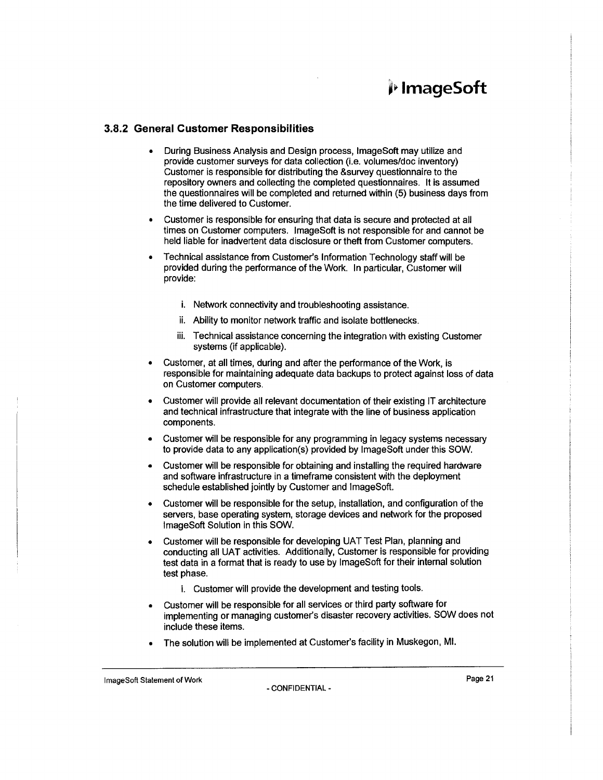#### **3.8.2 General Customer Responsibilities**

- During Business Analysis and Design process, lmageSoft may utilize and provide customer surveys for data collection (i.e. volumes/doc inventory) Customer is responsible for distributing the &survey questionnaire to the repository owners and collecting the completed questionnaires. It is assumed the questionnaires will be completed and returned within (5) business days from the time delivered to Customer.
- Customer is responsible for ensuring that data is secure and protected at all times on Customer computers. lmageSoft is not responsible for and cannot be held liable for inadvertent data disclosure or theft from Customer computers.
- Technical assistance from Customer's Information Technology staff will be provided during the performance of the Work. In particular, Customer will provide:
	- i. Network connectivity and troubleshooting assistance.
	- ii. Ability to monitor network traffic and isolate bottlenecks.
	- iii. Technical assistance concerning the integration with existing Customer systems (if applicable).
- Customer, at all times, during and after the performance of the Work, is responsible for maintaining adequate data backups to protect against loss of data on Customer computers.
- Customer will provide all relevant documentation of their existing IT architecture and technical infrastructure that integrate with the line of business application components.
- Customer will be responsible for any programming in legacy systems necessary to provide data to any application(s) provided by lmageSoft under this SOW.
- Customer will be responsible for obtaining and installing the required hardware and software infrastructure in a timeframe consistent with the deployment schedule established jointly by Customer and lmageSoft.
- Customer will be responsible for the setup, installation, and configuration of the servers, base operating system, storage devices and network for the proposed lmageSoft Solution in this SOW.
- Customer will be responsible for developing UAT Test Plan, planning and conducting all UAT activities. Additionally, Customer is responsible for providing test data in a format that is ready to use by lmageSoft for their internal solution test phase.
	- i. Customer will provide the development and testing tools.
- Customer will be responsible for all services or third party software for implementing or managing customer's disaster recovery activities. SOW does not include these items.
- The solution will be implemented at Customer's facility in Muskegon, Ml.

lmageSoft Statement of Work Page 21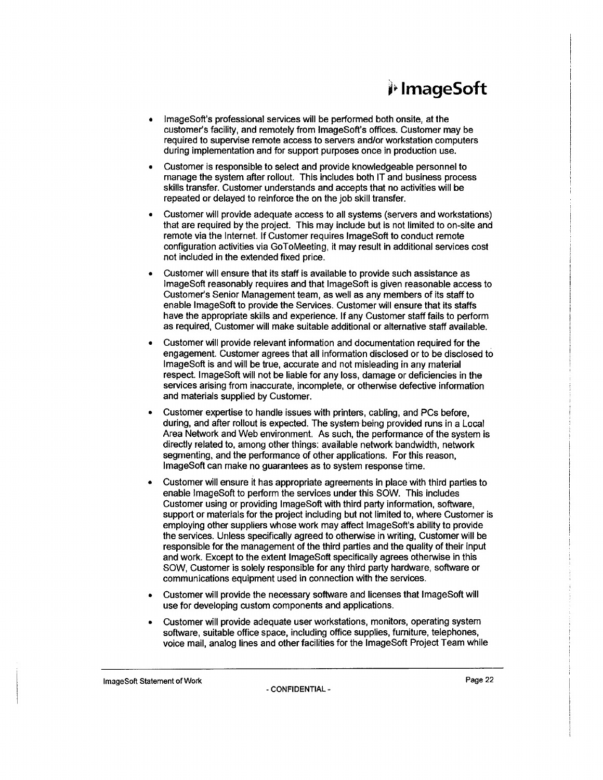- lmageSoft's professional services will be performed both onsite, at the customer's facility, and remotely from lmageSoft's offices. Customer may be required to supervise remote access to servers and/or workstation computers during implementation and for support purposes once in production use.
- Customer is responsible to select and provide knowledgeable personnel to manage the system after rollout. This includes both IT and business process skills transfer. Customer understands and accepts that no activities will be repeated or delayed to reinforce the on the job skill transfer.
- Customer will provide adequate access to all systems (servers and workstations) that are required by the project. This may include but is not limited to on-site and remote via the Internet. If Customer requires lmageSoft to conduct remote configuration activities via GoToMeeting, it may result in additional services cost not included in the extended fixed price.
- Customer will ensure that its staff is available to provide such assistance as lmageSoft reasonably requires and that lmageSoft is given reasonable access to Customer's Senior Management team, as well as any members of its staff to enable lmageSoft to provide the Services. Customer will ensure that its staffs have the appropriate skills and experience. If any Customer staff fails to perform as required, Customer will make suitable additional or alternative staff available.
- Customer will provide relevant information and documentation required for the engagement. Customer agrees that all information disclosed or to be disclosed to lmageSoft is and will be true, accurate and not misleading in any material respect. lmageSoft will not be liable for any loss, damage or deficiencies in the services arising from inaccurate, incomplete, or otherwise defective information and materials supplied by Customer.
- Customer expertise to handle issues with printers, cabling, and PCs before, during, and after rollout is expected. The system being provided runs in a Local Area Network and Web environment. As such, the performance of the system is directly related to, among other things: available network bandwidth, network segmenting, and the performance of other applications. For this reason, lmageSoft can make no guarantees as to system response time.
- Customer will ensure it has appropriate agreements in place with third parties to enable lmageSoft to perform the services under this SOW. This includes Customer using or providing lmageSoft with third party information, software, support or materials for the project including but not limited to, where Customer is employing other suppliers whose work may affect lmageSoft's ability to provide the services. Unless specifically agreed to otherwise in writing, Customer will be responsible for the management of the third parties and the quality of their input and work. Except to the extent lmageSoft specifically agrees otherwise in this SOW, Customer is solely responsible for any third party hardware, software or communications equipment used in connection with the services.
- Customer will provide the necessary software and licenses that lmageSoft will use for developing custom components and applications.
- Customer will provide adequate user workstations, monitors, operating system software, suitable office space, including office supplies, furniture, telephones, voice mail, analog lines and other facilities for the lmageSoft Project Team while

lmageSoft Statement of Work Page 22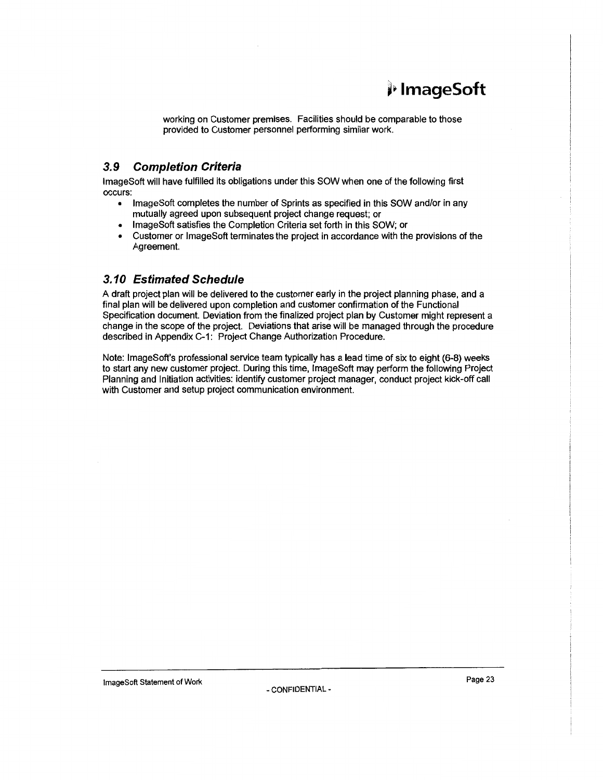## j1> **lmageSoft**

working on Customer premises. Facilities should be comparable to those provided to Customer personnel performing similar work.

### **3. 9 Completion Criteria**

lmageSoft will have fulfilled its obligations under this SOW when one of the following first occurs:

- lmageSoft completes the number of Sprints as specified in this SOW and/or in any mutually agreed upon subsequent project change request; or
- lmageSoft satisfies the Completion Criteria set forth in this SOW; or
- Customer or lmageSoft terminates the project in accordance with the provisions of the Agreement.

### **3.10 Estimated Schedule**

A draft project plan will be delivered to the customer early in the project planning phase, and a final plan will be delivered upon completion and customer confirmation of the Functional Specification document. Deviation from the finalized project plan by Customer might represent a change in the scope of the project. Deviations that arise will be managed through the procedure described in Appendix C-1: Project Change Authorization Procedure.

Note: lmageSoft's professional service team typically has a lead time of six to eight (6-8) weeks to start any new customer project. During this time, lmageSoft may perform the following Project Planning and Initiation activities: identify customer project manager, conduct project kick-off call with Customer and setup project communication environment.

ImageSoft Statement of Work Page 23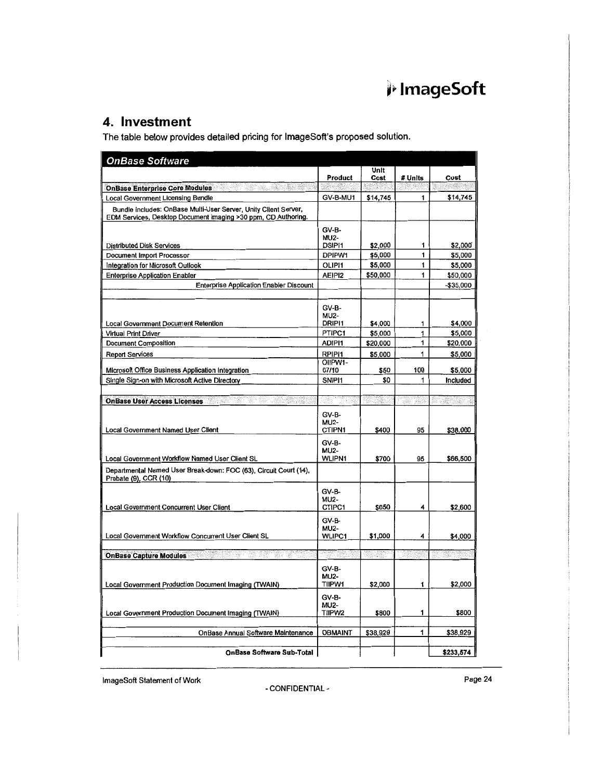### **4. Investment**

The table below provides detailed pricing for ImageSoft's proposed solution.

| <b>OnBase Software</b>                                                                                                           |                                       |          |                            |             |
|----------------------------------------------------------------------------------------------------------------------------------|---------------------------------------|----------|----------------------------|-------------|
|                                                                                                                                  |                                       | Unit     |                            |             |
|                                                                                                                                  | Product                               | Cost     | # Units                    | Cost        |
| <b>OnBase Enterprise Core Modules</b>                                                                                            |                                       |          |                            |             |
| <b>Local Government Licensing Bundle</b>                                                                                         | GV-B-MU1                              | \$14,745 | 1                          | \$14,745    |
| Bundle includes: OnBase Multi-User Server, Unity Client Server,<br>EDM Services, Desktop Document Imaging >30 ppm, CD Authoring. |                                       |          |                            |             |
| Distributed Disk Services                                                                                                        | GV-B-<br><b>MU2-</b><br>DSIPI1        | \$2,000  | 1                          | \$2,000     |
| Document Import Processor                                                                                                        | DPIPW1                                | \$5,000  | 1                          | \$5,000     |
| Integration for Microsoft Outlook                                                                                                | OLIP11                                | \$5,000  | 1                          | \$5,000     |
| <b>Enterprise Application Enabler</b>                                                                                            | AEIPI2                                | \$50,000 | 1                          | \$50,000    |
| <b>Enterprise Application Enabler Discount</b>                                                                                   |                                       |          |                            | $-$35,000$  |
| <b>Local Government Document Retention</b>                                                                                       | GV-B-<br><b>MU2-</b><br>DRIPI1        | \$4,000  | 1                          | \$4,000     |
| <b>Virtual Print Driver</b>                                                                                                      | <b>PTIPC1</b>                         | \$5,000  | 1                          | \$5,000     |
| <b>Document Composition</b>                                                                                                      | ADIPI1                                | \$20,000 | 1                          | \$20,000    |
| <b>Report Services</b>                                                                                                           | RPIPI1                                | \$5,000  | 1                          | \$5,000     |
|                                                                                                                                  | OIIPW <sub>1-</sub>                   |          |                            |             |
| Microsoft Office Business Application Integration                                                                                | 07/10                                 | \$50     | 100                        | \$5,000     |
| Single Sign-on with Microsoft Active Directory                                                                                   | SNIP <sub>11</sub>                    | \$0      | 1                          | Included    |
| <b>OnBase User Access Licenses</b>                                                                                               |                                       |          | $\mathcal{A}(\mathcal{C})$ |             |
| <b>Local Government Named User Client</b>                                                                                        | GV-B-<br><b>MU2-</b><br>CTIPN1        | \$400    | 95                         | \$38,000    |
| Local Government Workflow Named User Client SL                                                                                   | GV-B-<br><b>MU2-</b><br><b>WLIPN1</b> | \$700    | 95                         | \$66,500    |
| Departmental Named User Break-down: FOC (63), Circuit Court (14),<br>Probate (9), CCR (10)                                       |                                       |          |                            |             |
| <b>Local Government Concurrent User Client</b>                                                                                   | GV-B-<br><b>MU2-</b><br>CTIPC1        | \$650    | 4                          | \$2,600     |
| Local Government Workflow Concurrent User Client SL                                                                              | GV-B-<br><b>MU2-</b><br><b>WLIPC1</b> | \$1,000  | 4                          | \$4,000     |
| <b>OnBase Capture Modules</b>                                                                                                    |                                       | tiang    | S.K.                       | 1939 - SIST |
|                                                                                                                                  |                                       |          |                            |             |
| Local Government Production Document Imaging (TWAIN)                                                                             | GV-B-<br><b>MU2-</b><br><b>TIIPW1</b> | \$2,000  | 1                          | \$2,000     |
| Local Government Production Document Imaging (TWAIN)                                                                             | GV-B-<br><b>MU2-</b><br>TIIPW2        | \$800    | 1                          | \$800       |
| <b>OnBase Annual Software Maintenance</b>                                                                                        | <b>OBMAINT</b>                        | \$38.929 | 1                          | \$38,929    |
|                                                                                                                                  |                                       |          |                            |             |
| <b>OnBase Software Sub-Total</b>                                                                                                 |                                       |          |                            | \$233,574   |

ImageSoft Statement of Work **Page 24**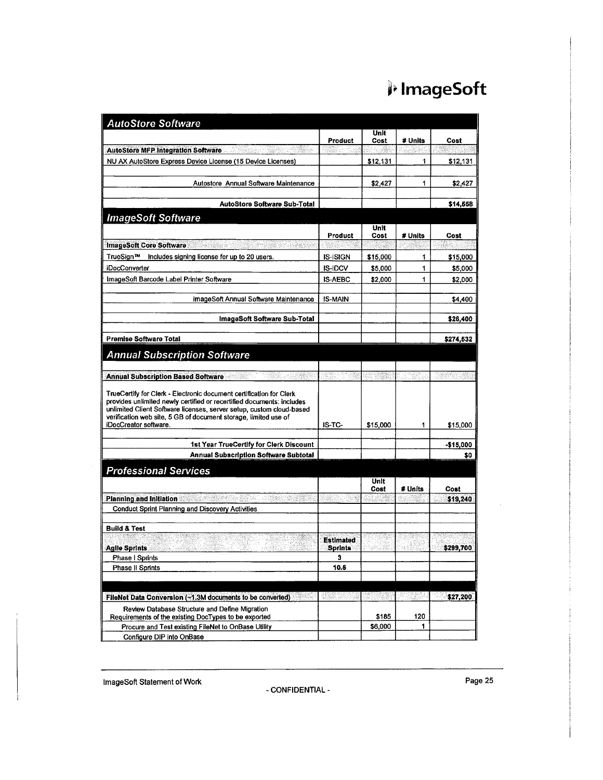| <b>AutoStore Software</b>                                                                                                                                                                                                                                                                                        |                                    |              |         |           |
|------------------------------------------------------------------------------------------------------------------------------------------------------------------------------------------------------------------------------------------------------------------------------------------------------------------|------------------------------------|--------------|---------|-----------|
|                                                                                                                                                                                                                                                                                                                  | Product                            | Unit<br>Cost | # Units | Cost      |
| AutoStore MFP Integration Software AutoStore MFP Integration Software                                                                                                                                                                                                                                            |                                    |              |         |           |
| NU AX AutoStore Express Device License (15 Device Licenses)                                                                                                                                                                                                                                                      |                                    | \$12,131     | 1       | \$12,131  |
| Autostore Annual Software Maintenance                                                                                                                                                                                                                                                                            |                                    | \$2,427      | 1       | \$2,427   |
| <b>AutoStore Software Sub-Total</b>                                                                                                                                                                                                                                                                              |                                    |              |         | \$14,558  |
| <b>ImageSoft Software</b>                                                                                                                                                                                                                                                                                        |                                    |              |         |           |
|                                                                                                                                                                                                                                                                                                                  | Product                            | Unit<br>Cost | # Units | Cost      |
| <b>ImageSoft Core Software</b><br>ar bertak di Sa                                                                                                                                                                                                                                                                |                                    |              |         |           |
| TrueSign™ Includes signing license for up to 20 users.                                                                                                                                                                                                                                                           | <b>IS-ISIGN</b>                    | \$15,000     | 1       | \$15,000  |
| iDocConverter                                                                                                                                                                                                                                                                                                    | <b>IS-IDCV</b>                     | \$5,000      | 1       | \$5,000   |
| ImageSoft Barcode Label Printer Software                                                                                                                                                                                                                                                                         | <b>IS-AEBC</b>                     | \$2,000      | 1       | \$2,000   |
|                                                                                                                                                                                                                                                                                                                  |                                    |              |         |           |
| ImageSoft Annual Software Maintenance                                                                                                                                                                                                                                                                            | <b>IS-MAIN</b>                     |              |         | \$4,400   |
| ImageSoft Software Sub-Total                                                                                                                                                                                                                                                                                     |                                    |              |         | \$26,400  |
| <b>Premise Software Total</b>                                                                                                                                                                                                                                                                                    |                                    |              |         | \$274,532 |
| <b>Annual Subscription Software</b>                                                                                                                                                                                                                                                                              |                                    |              |         |           |
| Annual Subscription Based Software <b>Annual</b>                                                                                                                                                                                                                                                                 |                                    |              |         |           |
| TrueCertify for Clerk - Electronic document certification for Clerk<br>provides unlimited newly certified or recertified documents: includes<br>unlimited Client Software licenses, server setup, custom cloud-based<br>verification web site, 5 GB of document storage, limited use of<br>iDocCreator software. | IS-TC-                             | \$15,000     | 1       | \$15,000  |
|                                                                                                                                                                                                                                                                                                                  |                                    |              |         |           |
| 1st Year TrueCertify for Clerk Discount                                                                                                                                                                                                                                                                          |                                    |              |         | -\$15,000 |
| <b>Annual Subscription Software Subtotal</b>                                                                                                                                                                                                                                                                     |                                    |              |         | \$0       |
| <b>Professional Services</b>                                                                                                                                                                                                                                                                                     |                                    |              |         |           |
|                                                                                                                                                                                                                                                                                                                  |                                    | Unit<br>Cost | # Units | Cost      |
| <b>Planning and Initiation Common</b>                                                                                                                                                                                                                                                                            |                                    |              |         | \$19,240  |
| Conduct Sprint Planning and Discovery Activities                                                                                                                                                                                                                                                                 |                                    |              |         |           |
| <b>Build &amp; Test</b>                                                                                                                                                                                                                                                                                          |                                    |              |         |           |
| <b>Agile Sprints</b>                                                                                                                                                                                                                                                                                             | <b>Estimated</b><br><b>Sprints</b> |              |         | \$299,700 |
| <b>Phase I Sprints</b>                                                                                                                                                                                                                                                                                           | 3                                  |              |         |           |
| Phase II Sprints                                                                                                                                                                                                                                                                                                 | 10.6                               |              |         |           |
|                                                                                                                                                                                                                                                                                                                  |                                    |              |         |           |
| FileNet Data Conversion (~1.3M documents to be converted)                                                                                                                                                                                                                                                        | gant                               |              |         | \$27,200  |
| Review Database Structure and Define Migration<br>Requirements of the existing DocTypes to be exported                                                                                                                                                                                                           |                                    | \$185        | 120     |           |
| Procure and Test existing FileNet to OnBase Utility                                                                                                                                                                                                                                                              |                                    | \$6,000      | 1       |           |
| Configure DIP into OnBase                                                                                                                                                                                                                                                                                        |                                    |              |         |           |

lmageSoft Statement of Work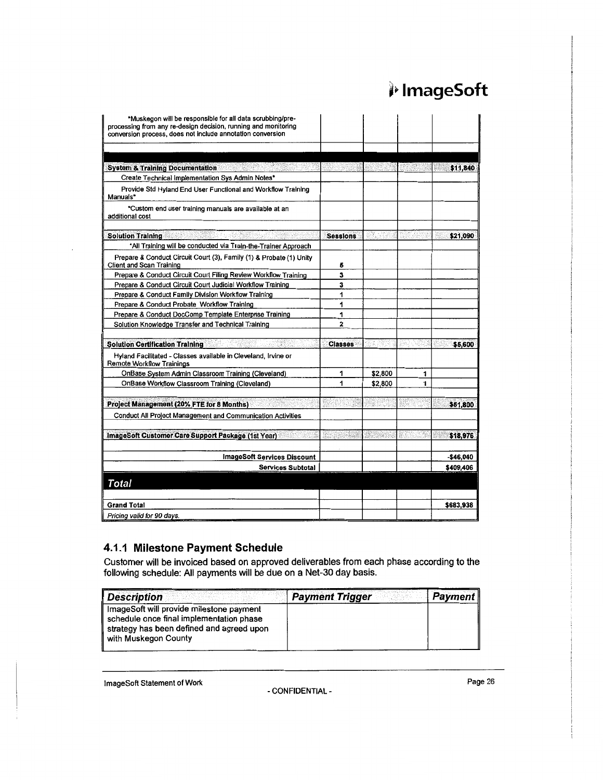| *Muskegon will be responsible for all data scrubbing/pre-                                                                    |                 |         |   |           |
|------------------------------------------------------------------------------------------------------------------------------|-----------------|---------|---|-----------|
| processing from any re-design decision, running and monitoring<br>conversion process, does not include annotation conversion |                 |         |   |           |
|                                                                                                                              |                 |         |   |           |
|                                                                                                                              |                 |         |   |           |
| <b>System &amp; Training Documentation</b>                                                                                   |                 |         |   | \$11,840  |
| Create Technical Implementation Sys Admin Notes*                                                                             |                 |         |   |           |
| Provide Std Hyland End User Functional and Workflow Training<br>Manuals*                                                     |                 |         |   |           |
| *Custom end user training manuals are available at an<br>additional cost                                                     |                 |         |   |           |
| <b>Solution Training</b>                                                                                                     | <b>Sessions</b> | 230.02  |   | \$21,090  |
| *All Training will be conducted via Train-the-Trainer Approach                                                               |                 |         |   |           |
| Prepare & Conduct Circuit Court (3), Family (1) & Probate (1) Unity<br>Client and Scan Training                              | 5               |         |   |           |
| Prepare & Conduct Circuit Court Filing Review Workflow Training                                                              | 3               |         |   |           |
| Prepare & Conduct Circuit Court Judicial Workflow Training                                                                   | 3               |         |   |           |
| Prepare & Conduct Family Division Workflow Training                                                                          | 1               |         |   |           |
| Prepare & Conduct Probate Workflow Training                                                                                  | 1               |         |   |           |
| Prepare & Conduct DocComp Template Enterprise Training                                                                       | 1               |         |   |           |
| Solution Knowledge Transfer and Technical Training                                                                           | $\overline{2}$  |         |   |           |
| <b>Solution Certification Training</b>                                                                                       | <b>Classes</b>  |         |   | \$5,600   |
| Hyland Facilitated - Classes available in Cleveland, Irvine or<br><b>Remote Workflow Trainings</b>                           |                 |         |   |           |
| OnBase System Admin Classroom Training (Cleveland)                                                                           | 1               | \$2,800 | 1 |           |
| OnBase Workflow Classroom Training (Cleveland)                                                                               | 1               | \$2,800 | 1 |           |
| Project Management (20% FTE for 8 Months)                                                                                    |                 |         |   | \$51,800  |
| <b>Conduct All Project Management and Communication Activities</b>                                                           |                 |         |   |           |
| ImageSoft Customer Care Support Package (1st Year)                                                                           |                 |         |   | \$18,976  |
| <b>ImageSoft Services Discount</b>                                                                                           |                 |         |   | -\$46,040 |
| <b>Services Subtotal</b>                                                                                                     |                 |         |   | \$409,406 |
| <b>Total</b>                                                                                                                 |                 |         |   |           |
|                                                                                                                              |                 |         |   |           |
| <b>Grand Total</b>                                                                                                           |                 |         |   | \$683,938 |
| Pricing valid for 90 days.                                                                                                   |                 |         |   |           |

### **4.1.1 Milestone Payment Schedule**

Customer will be invoiced based on approved deliverables from each phase according to the following schedule: All payments will be due on a Net-30 day basis.

| <b>Description</b>                                                                                                                                          | <b>Payment Trigger</b> | Payment |
|-------------------------------------------------------------------------------------------------------------------------------------------------------------|------------------------|---------|
| ImageSoft will provide milestone payment<br>schedule once final implementation phase<br>strategy has been defined and agreed upon<br>∥ with Muskegon County |                        |         |

ImageSoft Statement of Work Page 26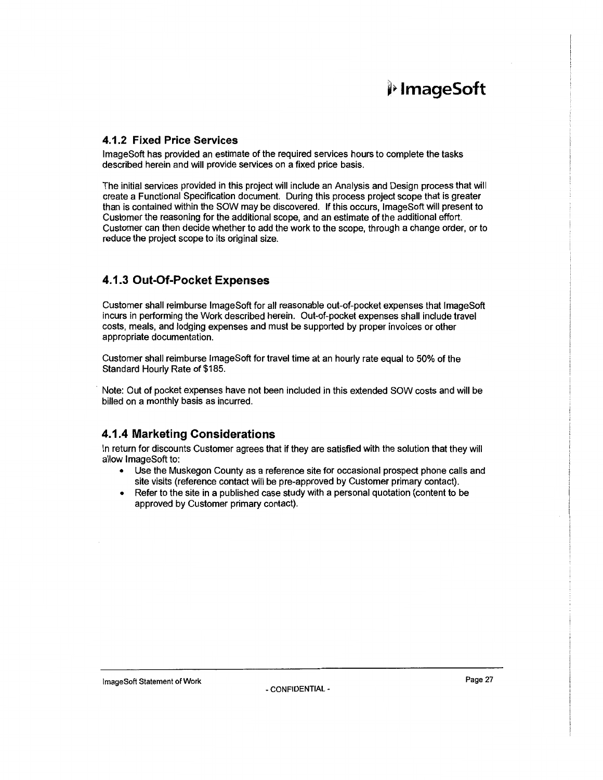#### **4.1.2 Fixed Price Services**

lmageSoft has provided an estimate of the required services hours to complete the tasks described herein and will provide services on a fixed price basis.

The initial services provided in this project will include an Analysis and Design process that will create a Functional Specification document. During this process project scope that is greater than is contained within the SOW may be discovered. If this occurs, lmageSoft will present to Customer the reasoning for the additional scope, and an estimate of the additional effort. Customer can then decide whether to add the work to the scope, through a change order, or to reduce the project scope to its original size.

### **4.1.3 Out-Of-Pocket Expenses**

Customer shall reimburse lmageSoft for all reasonable out-of-pocket expenses that lmageSoft incurs in performing the Work described herein. Out-of-pocket expenses shall include travel costs, meals, and lodging expenses and must be supported by proper invoices or other appropriate documentation.

Customer shall reimburse lmageSoft for travel time at an hourly rate equal to 50% of the Standard Hourly Rate of \$185.

Note: Out of pocket expenses have not been included in this extended SOW costs and will be billed on a monthly basis as incurred.

### **4.1.4 Marketing Considerations**

In return for discounts Customer agrees that if they are satisfied with the solution that they will allow lmageSoft to:

- Use the Muskegon County as a reference site for occasional prospect phone calls and site visits (reference contact will be pre-approved by Customer primary contact).
- Refer to the site in a published case study with a personal quotation (content to be approved by Customer primary contact).

ImageSoft Statement of Work **Page 27**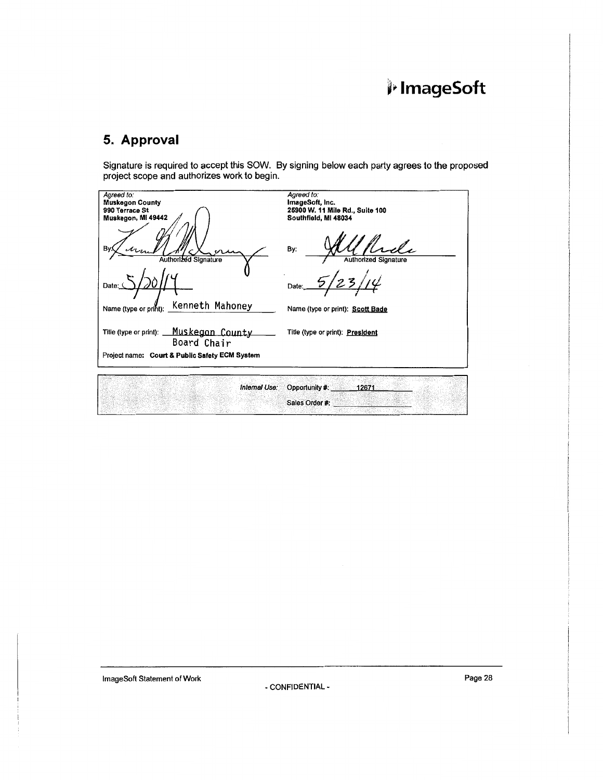### **5. Approval**

Signature is required to accept this SOW. By signing below each party agrees to the proposed project scope and authorizes work to begin.

| Agreed to:<br><b>Muskegon County</b><br>990 Terrace St<br>Muskegon, MI 49442 | Agreed to:<br>ImageSoft, Inc.<br>25900 W. 11 Mile Rd., Suite 100<br>Southfield, MI 48034 |
|------------------------------------------------------------------------------|------------------------------------------------------------------------------------------|
| B٧<br>Authorized Signature                                                   | By:<br><b>Authorized Signature</b>                                                       |
| Date:                                                                        | Date:                                                                                    |
| Kenneth Mahoney<br>Name (type or print):                                     | Name (type or print): Scott Bade                                                         |
| Title (type or print): Muskegon County<br>Board Chair                        | Title (type or print): President                                                         |
| Project name: Court & Public Safety ECM System                               |                                                                                          |
| Internal Use:                                                                | Opportunity #:<br>12671                                                                  |
|                                                                              | Sales Order #:                                                                           |

lmageSoft Statement of Work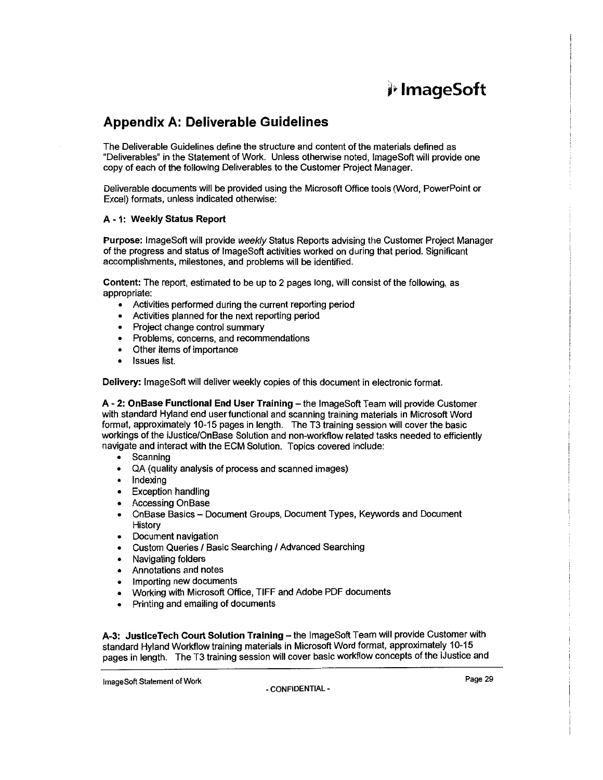### **Appendix A: Deliverable Guidelines**

The Deliverable Guidelines define the structure and content of the materials defined as "Deliverables" in the Statement of Work. Unless otherwise noted, lmageSoft will provide one copy of each of the following Deliverables to the Customer Project Manager.

Deliverable documents will be provided using the Microsoft Office tools (Word, PowerPoint or Excel) formats, unless indicated otherwise:

#### A - 1: Weekly Status Report

Purpose: ImageSoft will provide weekly Status Reports advising the Customer Project Manager of the progress and status of ImageSoft activities worked on during that period. Significant accomplishments, milestones, and problems will be identified.

Content: The report, estimated to be up to 2 pages long, will consist of the following, as appropriate:

- Activities performed during the current reporting period
- Activities planned for the next reporting period
- Project change control summary
- Problems, concerns, and recommendations
- Other items of importance
- Issues list.

Delivery: lmageSoft will deliver weekly copies of this document in electronic format.

A - 2: OnBase Functional End User Training - the ImageSoft Team will provide Customer with standard Hyland end user functional and scanning training materials in Microsoft Word format, approximately 10-15 pages in length. The T3 training session will cover the basic workings of the iJustice/OnBase Solution and non-workflow related tasks needed to efficiently navigate and interact with the ECM Solution. Topics covered include:

- Scanning
- QA (quality analysis of process and scanned images)
- Indexing
- **Exception handling**
- Accessing OnBase
- OnBase Basics Document Groups, Document Types, Keywords and Document History
- Document navigation
- **Custom Queries / Basic Searching / Advanced Searching**
- Navigating folders
- Annotations and notes
- Importing new documents
- Working with Microsoft Office, TIFF and Adobe PDF documents
- Printing and emailing of documents

A-3: JusticeTech Court Solution Training - the ImageSoft Team will provide Customer with standard Hyland Workflow training materials in Microsoft Word format. approximately 10-15 pages in length. The T3 training session will cover basic workflow concepts of the iJustice and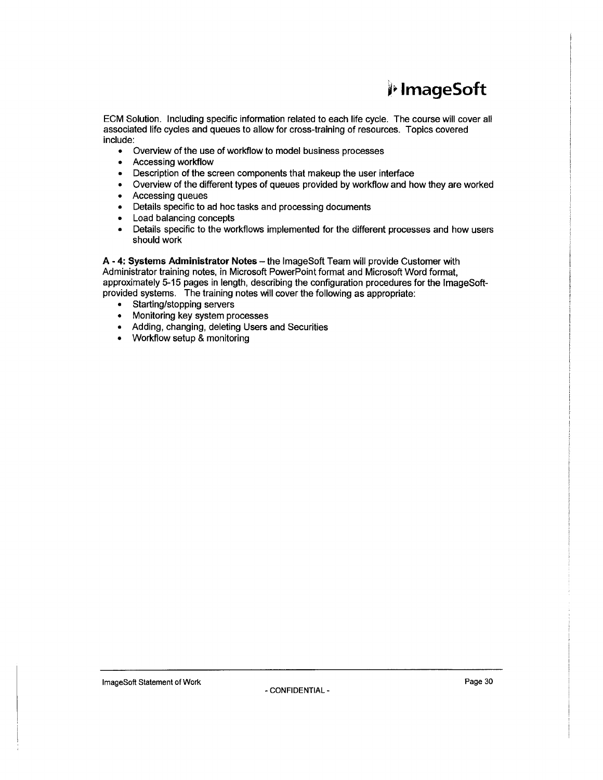ECM Solution. Including specific information related to each life cycle. The course will cover all associated life cycles and queues to allow for cross-training of resources. Topics covered include:

- Overview of the use of workflow to model business processes
- Accessing workflow
- Description of the screen components that makeup the user interface
- Overview of the different types of queues provided by workflow and how they are worked
- Accessing queues
- Details specific to ad hoc tasks and processing documents
- Load balancing concepts
- Details specific to the workflows implemented for the different processes and how users should work

A - 4: Systems Administrator Notes - the ImageSoft Team will provide Customer with Administrator training notes, in Microsoft PowerPoint format and Microsoft Word format, approximately 5-15 pages in length, describing the configuration procedures for the lmageSoftprovided systems. The training notes will cover the following as appropriate:

- Starting/stopping servers
- Monitoring key system processes
- Adding, changing, deleting Users and Securities
- Workflow setup & monitoring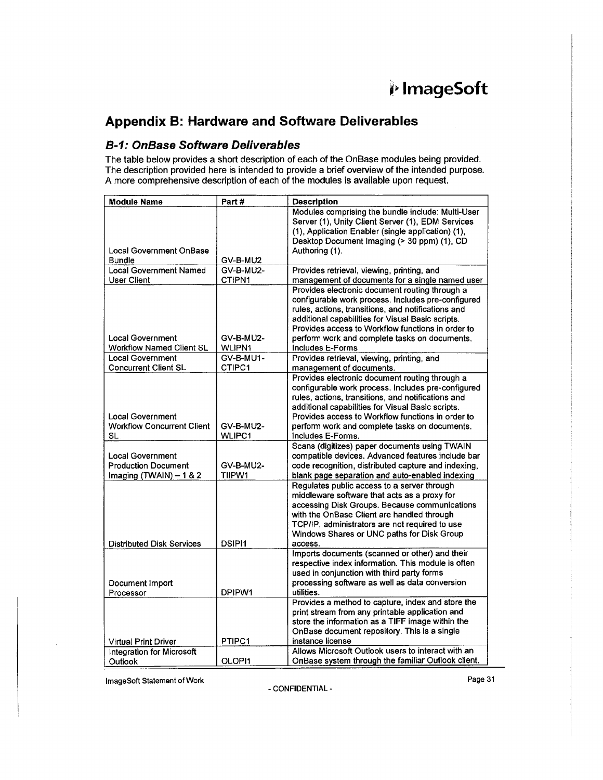## **j;. lmageSoft**

### **Appendix B: Hardware and Software Deliverables**

### **B-1: OnBase Software Deliverables**

The table below provides a short description of each of the OnBase modules being provided. The description provided here is intended to provide a brief overview of the intended purpose. A more comprehensive description of each of the modules is available upon request.

| <b>Module Name</b>                | Part#         | <b>Description</b>                                                                                       |
|-----------------------------------|---------------|----------------------------------------------------------------------------------------------------------|
|                                   |               | Modules comprising the bundle include: Multi-User                                                        |
|                                   |               | Server (1), Unity Client Server (1), EDM Services                                                        |
|                                   |               | (1), Application Enabler (single application) (1),                                                       |
|                                   |               | Desktop Document Imaging (> 30 ppm) (1), CD                                                              |
| <b>Local Government OnBase</b>    |               | Authoring (1).                                                                                           |
| <b>Bundle</b>                     | GV-B-MU2      |                                                                                                          |
| <b>Local Government Named</b>     | GV-B-MU2-     | Provides retrieval, viewing, printing, and                                                               |
| <b>User Client</b>                | CTIPN1        | management of documents for a single named user                                                          |
|                                   |               | Provides electronic document routing through a                                                           |
|                                   |               | configurable work process. Includes pre-configured<br>rules, actions, transitions, and notifications and |
|                                   |               | additional capabilities for Visual Basic scripts.                                                        |
|                                   |               | Provides access to Workflow functions in order to                                                        |
| <b>Local Government</b>           | GV-B-MU2-     | perform work and complete tasks on documents.                                                            |
| <b>Workflow Named Client SL</b>   | WLIPN1        | Includes E-Forms                                                                                         |
| Local Government                  | GV-B-MU1-     | Provides retrieval, viewing, printing, and                                                               |
| <b>Concurrent Client SL</b>       | CTIPC1        | management of documents.                                                                                 |
|                                   |               | Provides electronic document routing through a                                                           |
|                                   |               | configurable work process. Includes pre-configured                                                       |
|                                   |               | rules, actions, transitions, and notifications and                                                       |
|                                   |               | additional capabilities for Visual Basic scripts.                                                        |
| <b>Local Government</b>           |               | Provides access to Workflow functions in order to                                                        |
| <b>Workflow Concurrent Client</b> | GV-B-MU2-     | perform work and complete tasks on documents.                                                            |
| SL                                | <b>WLIPC1</b> | Includes E-Forms.                                                                                        |
|                                   |               | Scans (digitizes) paper documents using TWAIN                                                            |
| <b>Local Government</b>           |               | compatible devices. Advanced features include bar                                                        |
| <b>Production Document</b>        | GV-B-MU2-     | code recognition, distributed capture and indexing,                                                      |
| Imaging (TWAIN) $-1$ & 2          | TIIPW1        | blank page separation and auto-enabled indexing                                                          |
|                                   |               | Regulates public access to a server through                                                              |
|                                   |               | middleware software that acts as a proxy for<br>accessing Disk Groups. Because communications            |
|                                   |               | with the OnBase Client are handled through                                                               |
|                                   |               | TCP/IP, administrators are not required to use                                                           |
|                                   |               | Windows Shares or UNC paths for Disk Group                                                               |
| <b>Distributed Disk Services</b>  | <b>DSIPI1</b> | access.                                                                                                  |
|                                   |               | Imports documents (scanned or other) and their                                                           |
|                                   |               | respective index information. This module is often                                                       |
|                                   |               | used in conjunction with third party forms                                                               |
| Document Import                   |               | processing software as well as data conversion                                                           |
| Processor                         | DPIPW1        | utilities.                                                                                               |
|                                   |               | Provides a method to capture, index and store the                                                        |
|                                   |               | print stream from any printable application and                                                          |
|                                   |               | store the information as a TIFF image within the                                                         |
|                                   |               | OnBase document repository. This is a single                                                             |
| <b>Virtual Print Driver</b>       | PTIPC1        | instance license                                                                                         |
| Integration for Microsoft         |               | Allows Microsoft Outlook users to interact with an                                                       |
| Outlook                           | OLOPI1        | OnBase system through the familiar Outlook client.                                                       |

lmageSoft Statement of Work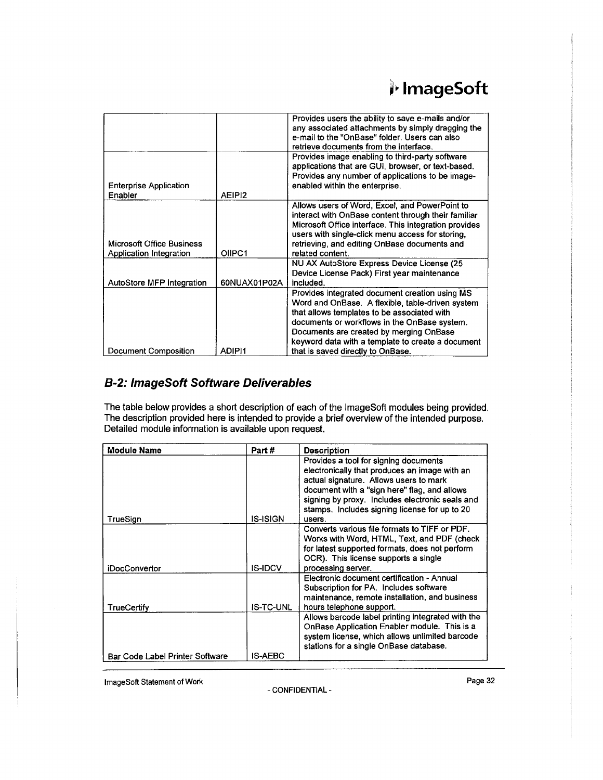|                                                      |                    | Provides users the ability to save e-mails and/or<br>any associated attachments by simply dragging the<br>e-mail to the "OnBase" folder. Users can also<br>retrieve documents from the interface.                                                                                                 |
|------------------------------------------------------|--------------------|---------------------------------------------------------------------------------------------------------------------------------------------------------------------------------------------------------------------------------------------------------------------------------------------------|
| <b>Enterprise Application</b><br>Enabler             | AEIPI <sub>2</sub> | Provides image enabling to third-party software<br>applications that are GUI, browser, or text-based.<br>Provides any number of applications to be image-<br>enabled within the enterprise.                                                                                                       |
| Microsoft Office Business<br>Application Integration | OIIPC1             | Allows users of Word, Excel, and PowerPoint to<br>interact with OnBase content through their familiar<br>Microsoft Office interface. This integration provides<br>users with single-click menu access for storing,<br>retrieving, and editing OnBase documents and<br>related content.            |
| AutoStore MFP Integration                            | 60NUAX01P02A       | NU AX AutoStore Express Device License (25<br>Device License Pack) First year maintenance<br>included.                                                                                                                                                                                            |
|                                                      |                    | Provides integrated document creation using MS<br>Word and OnBase. A flexible, table-driven system<br>that allows templates to be associated with<br>documents or workflows in the OnBase system.<br>Documents are created by merging OnBase<br>keyword data with a template to create a document |
| <b>Document Composition</b>                          | ADIPI1             | that is saved directly to OnBase.                                                                                                                                                                                                                                                                 |

### **B-2: lmageSoft Software Deliverables**

The table below provides a short description of each of the lmageSoft modules being provided. The description provided here is intended to provide a brief overview of the intended purpose. Detailed module information is available upon request.

| <b>Module Name</b>                     | Part #          | <b>Description</b>                                                                                                                                                                                                                                                                             |
|----------------------------------------|-----------------|------------------------------------------------------------------------------------------------------------------------------------------------------------------------------------------------------------------------------------------------------------------------------------------------|
| TrueSign                               | <b>IS-ISIGN</b> | Provides a tool for signing documents<br>electronically that produces an image with an<br>actual signature. Allows users to mark<br>document with a "sign here" flag, and allows<br>signing by proxy. Includes electronic seals and<br>stamps. Includes signing license for up to 20<br>users. |
| <b>iDocConvertor</b>                   | <b>IS-IDCV</b>  | Converts various file formats to TIFF or PDF.<br>Works with Word, HTML, Text, and PDF (check<br>for latest supported formats, does not perform<br>OCR). This license supports a single<br>processing server.                                                                                   |
| <b>TrueCertify</b>                     | IS-TC-UNL       | Electronic document certification - Annual<br>Subscription for PA. Includes software<br>maintenance, remote installation, and business<br>hours telephone support.                                                                                                                             |
|                                        |                 | Allows barcode label printing integrated with the<br>OnBase Application Enabler module. This is a<br>system license, which allows unlimited barcode<br>stations for a single OnBase database.                                                                                                  |
| <b>Bar Code Label Printer Software</b> | <b>IS-AEBC</b>  |                                                                                                                                                                                                                                                                                                |

lmageSoft Statement of Work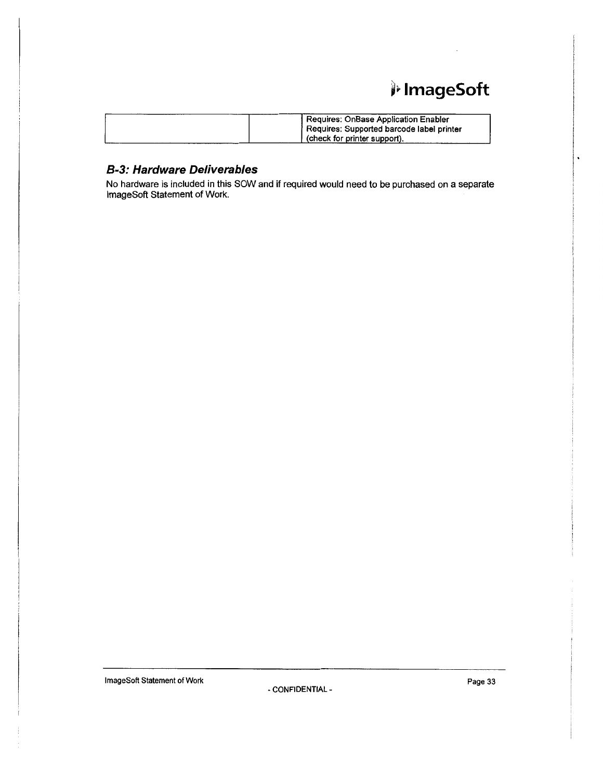## j,. **lmageSoft**

| Requires: OnBase Application Enabler      |
|-------------------------------------------|
| Requires: Supported barcode label printer |
| ' (check for printer support).            |

### **B-3: Hardware Deliverables**

No hardware is included in this SOW and if required would need to be purchased on a separate lmageSoft Statement of Work.

ImageSoft Statement of Work **Page 33** - CONFIDENTIAL -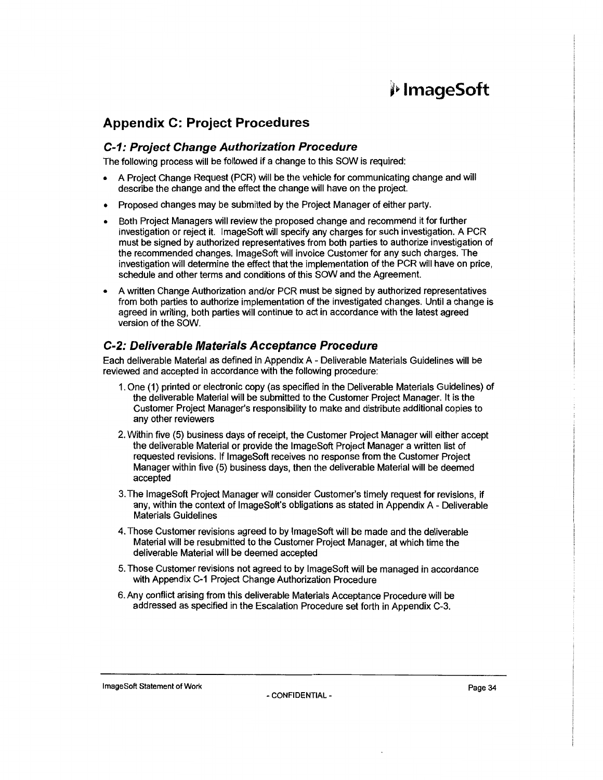### **Appendix C: Project Procedures**

#### **C-1: Project Change Authorization Procedure**

The following process will be followed if a change to this SOW is required:

- A Project Change Request (PCR) will be the vehicle for communicating change and will describe the change and the effect the change will have on the project.
- Proposed changes may be submitted by the Project Manager of either party.
- Both Project Managers will review the proposed change and recommend it for further investigation or reject it. lmageSoft will specify any charges for such investigation. A PCR must be signed by authorized representatives from both parties to authorize investigation of the recommended changes. lmageSoft will invoice Customer for any such charges. The investigation will determine the effect that the implementation of the PCR will have on price, schedule and other terms and conditions of this SOW and the Agreement.
- A written Change Authorization and/or PCR must be signed by authorized representatives from both parties to authorize implementation of the investigated changes. Until a change is agreed in writing, both parties will continue to act in accordance with the latest agreed version of the SOW.

### **C-2: Deliverable Materials Acceptance Procedure**

Each deliverable Material as defined in Appendix A - Deliverable Materials Guidelines will be reviewed and accepted in accordance with the following procedure:

- 1. One (1) printed or electronic copy (as specified in the Deliverable Materials Guidelines) of the deliverable Material will be submitted to the Customer Project Manager. It is the Customer Project Manager's responsibility to make and distribute additional copies to any other reviewers
- 2. Within five (5) business days of receipt, the Customer Project Manager will either accept the deliverable Material or provide the lmageSoft Project Manager a written list of requested revisions. If lmageSoft receives no response from the Customer Project Manager within five (5) business days, then the deliverable Material will be deemed accepted
- 3. The lmageSoft Project Manager will consider Customer's timely request for revisions, if any, within the context of lmageSoft's obligations as stated in Appendix A - Deliverable Materials Guidelines
- 4. Those Customer revisions agreed to by lmageSoft will be made and the deliverable Material will be resubmitted to the Customer Project Manager, at which time the deliverable Material will be deemed accepted
- 5. Those Customer revisions not agreed to by lmageSoft will be managed in accordance with Appendix C-1 Project Change Authorization Procedure
- 6. Any conflict arising from this deliverable Materials Acceptance Procedure will be addressed as specified in the Escalation Procedure set forth in Appendix C-3.

lmageSoft Statement of Work